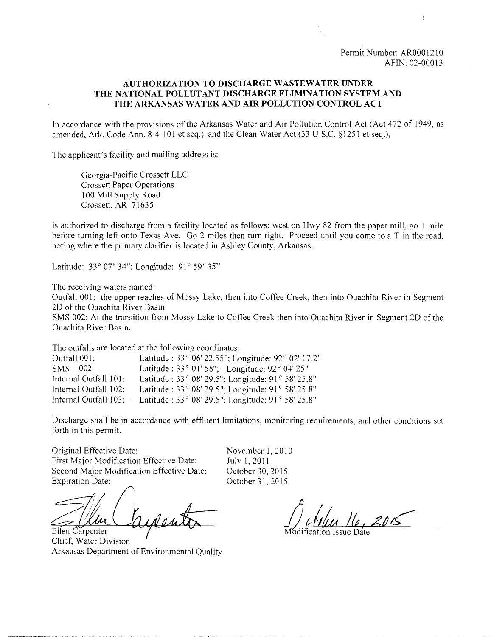#### **AUTHORIZATION TO DISCHARGE WASTEWATER UNDER THE NATIONAL POLLUTANT DISCHARGE ELIMINATION SYSTEM AND THE ARKANSAS WATER AND AIR POLLUTION CONTROL ACT**

In accordance with the provisions of the Arkansas Water and Air Pollution Control Act (Act 472 of 1949, as amended, Ark. Code Ann. 8-4-101 et seq.), and the Clean Water Act (33 U.S.C. §1251 et seq.),

The applicant's facility and mailing address is:

Georgia-Pacific Crossett LLC Crossett Paper Operations 100 Mill Supply Road Crossett, AR 71635

is authorized to discharge from a facility located as follows: west on Hwy 82 from the paper mill, go 1 mile before turning left onto Texas Ave. Go 2 miles then turn right. Proceed until you come to a T in the road, noting where the primary clarifier is located in Ashley County, Arkansas.

Latitude: 33° 07' 34"; Longitude: 91° 59' 35"

The receiving waters named:

Outfall 001: the upper reaches of Mossy Lake, then into Coffee Creek, then into Ouachita River in Segment 2D of the Ouachita River Basin.

SMS 002: At the transition from Mossy Lake to Coffee Creek then into Ouachita River in Segment 2D of the Ouachita River Basin.

The outfalls are located at the following coordinates:

| Outfall 001:          | Latitude: 33° 06' 22.55"; Longitude: 92° 02' 17.2"                   |
|-----------------------|----------------------------------------------------------------------|
| SMS 002:              | Latitude: $33°01'58"$ ; Longitude: $92°04'25"$                       |
| Internal Outfall 101: | Latitude: 33° 08' 29.5"; Longitude: 91° 58' 25.8"                    |
| Internal Outfall 102: | Latitude: 33° 08' 29.5"; Longitude: 91° 58' 25.8"                    |
| Internal Outfall 103: | Latitude : $33^{\circ}$ 08' 29.5"; Longitude: $91^{\circ}$ 58' 25.8" |

Discharge shall be in accordance with effluent limitations, monitoring requirements, and other conditions set forth in this permit.

Original Effective Date: First Major Modification Effective Date: Second Major Modification Effective Date: Expiration Date:

Ellen Carpenter

Chief, Water Division Arkansas Department of Environmental Quality

November 1, 2010 July 1, 2011 October 30, 2015 October 31,2015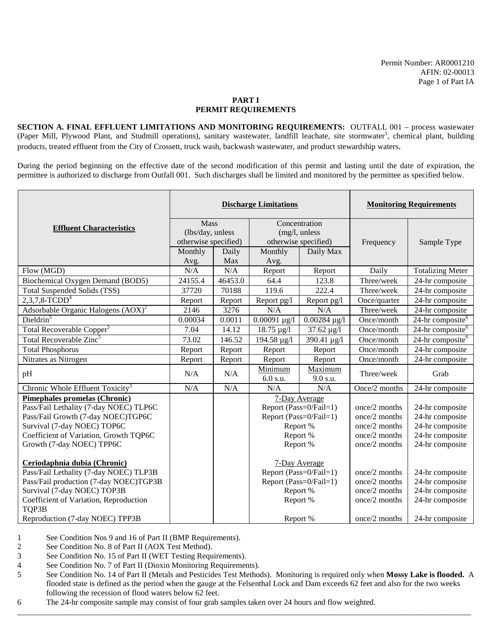**SECTION A. FINAL EFFLUENT LIMITATIONS AND MONITORING REQUIREMENTS:** OUTFALL 001 – process wastewater (Paper Mill, Plywood Plant, and Studmill operations), sanitary wastewater, landfill leachate, site stormwater<sup>1</sup>, chemical plant, building products, treated effluent from the City of Crossett, truck wash, backwash wastewater, and product stewardship waters.

During the period beginning on the effective date of the second modification of this permit and lasting until the date of expiration, the permittee is authorized to discharge from Outfall 001. Such discharges shall be limited and monitored by the permittee as specified below.

|                                                                        | <b>Discharge Limitations</b>    |         |                                         |                                | <b>Monitoring Requirements</b> |                              |
|------------------------------------------------------------------------|---------------------------------|---------|-----------------------------------------|--------------------------------|--------------------------------|------------------------------|
| <b>Effluent Characteristics</b>                                        | <b>Mass</b><br>(lbs/day, unless |         |                                         | Concentration<br>(mg/l, unless |                                |                              |
|                                                                        | otherwise specified)            |         |                                         | otherwise specified)           | Frequency                      | Sample Type                  |
|                                                                        | Monthly                         | Daily   | Monthly                                 | Daily Max                      |                                |                              |
|                                                                        | Avg.                            | Max     | Avg.                                    |                                |                                |                              |
| Flow (MGD)                                                             | N/A                             | N/A     | Report                                  | Report                         | Daily                          | <b>Totalizing Meter</b>      |
| Biochemical Oxygen Demand (BOD5)                                       | 24155.4                         | 46453.0 | 64.4                                    | 123.8                          | Three/week                     | 24-hr composite              |
| Total Suspended Solids (TSS)                                           | 37720                           | 70188   | 119.6                                   | 222.4                          | Three/week                     | 24-hr composite              |
| $2,3,7,8$ -TCDD <sup>4</sup>                                           | Report                          | Report  | Report pg/l                             | Report pg/l                    | Once/quarter                   | 24-hr composite              |
| Adsorbable Organic Halogens $(AOX)^2$                                  | 2146                            | 3276    | N/A                                     | N/A                            | Three/week                     | 24-hr composite              |
| Dieldrin <sup>5</sup>                                                  | 0.00034                         | 0.0011  | $0.00091 \mu g/l$                       | $0.00284 \mu g/l$              | Once/month                     | 24-hr composite <sup>6</sup> |
| Total Recoverable Copper <sup>5</sup>                                  | 7.04                            | 14.12   | $18.75 \,\mu g/l$                       | $37.62 \,\mu g/l$              | Once/month                     | 24-hr composite <sup>6</sup> |
| Total Recoverable Zinc <sup>5</sup>                                    | 73.02                           | 146.52  | 194.58 µg/l                             | $\frac{1}{390.41}$ µg/l        | Once/month                     | 24-hr composite <sup>6</sup> |
| <b>Total Phosphorus</b>                                                | Report                          | Report  | Report                                  | Report                         | Once/month                     | 24-hr composite              |
| Nitrates as Nitrogen                                                   | Report                          | Report  | Report                                  | Report                         | Once/month                     | 24-hr composite              |
| pH                                                                     | N/A                             | N/A     | Minimum<br>6.0 s.u.                     | Maximum<br>9.0 s.u.            | Three/week                     | Grab                         |
| Chronic Whole Effluent Toxicity <sup>3</sup>                           | N/A                             | N/A     | N/A                                     | N/A                            | Once/2 months                  | 24-hr composite              |
| Pimephales promelas (Chronic)                                          |                                 |         |                                         | 7-Day Average                  |                                |                              |
| Pass/Fail Lethality (7-day NOEC) TLP6C                                 |                                 |         | Report (Pass=0/Fail=1)                  |                                | once/2 months                  | 24-hr composite              |
| Pass/Fail Growth (7-day NOEC)TGP6C                                     |                                 |         | Report (Pass=0/Fail=1)                  |                                | once/2 months                  | 24-hr composite              |
| Survival (7-day NOEC) TOP6C                                            |                                 |         | Report %                                |                                | once/2 months                  | 24-hr composite              |
| Coefficient of Variation, Growth TQP6C                                 |                                 |         | Report %                                |                                | once/2 months                  | 24-hr composite              |
| Growth (7-day NOEC) TPP6C                                              |                                 |         | Report %                                |                                | once/2 months                  | 24-hr composite              |
| Ceriodaphnia dubia (Chronic)<br>Pass/Fail Lethality (7-day NOEC) TLP3B |                                 |         | 7-Day Average<br>Report (Pass=0/Fail=1) |                                | once/2 months                  | 24-hr composite              |
| Pass/Fail production (7-day NOEC)TGP3B                                 |                                 |         | Report (Pass=0/Fail=1)                  |                                | once/2 months                  | 24-hr composite              |
| Survival (7-day NOEC) TOP3B                                            |                                 |         | Report %                                |                                | once/2 months                  | 24-hr composite              |
| Coefficient of Variation, Reproduction<br>TQP3B                        |                                 |         | Report %                                |                                | once/2 months                  | 24-hr composite              |
| Reproduction (7-day NOEC) TPP3B                                        |                                 |         | Report %                                |                                | once/ $2$ months               | 24-hr composite              |

1 See Condition Nos 9 and 16 of Part II (BMP Requirements).

2 See Condition No. 8 of Part II (AOX Test Method).<br>3 See Condition No. 15 of Part II (WET Testing Requ

See Condition No. 15 of Part II (WET Testing Requirements).

- 4 See Condition No. 7 of Part II (Dioxin Monitoring Requirements).
- 5 See Condition No. 14 of Part II (Metals and Pesticides Test Methods). Monitoring is required only when **Mossy Lake is flooded.** A flooded state is defined as the period when the gauge at the Felsenthal Lock and Dam exceeds 62 feet and also for the two weeks following the recession of flood waters below 62 feet.

\_\_\_\_\_\_\_\_\_\_\_\_\_\_\_\_\_\_\_\_\_\_\_\_\_\_\_\_\_\_\_\_\_\_\_\_\_\_\_\_\_\_\_\_\_\_\_\_\_\_\_\_\_\_\_\_\_\_\_\_\_\_\_\_\_\_\_\_\_\_\_\_\_\_\_\_\_\_\_\_\_\_\_\_\_\_\_\_\_\_\_\_\_\_\_\_\_\_\_\_\_\_\_\_\_\_\_\_\_\_\_\_\_

6 The 24-hr composite sample may consist of four grab samples taken over 24 hours and flow weighted.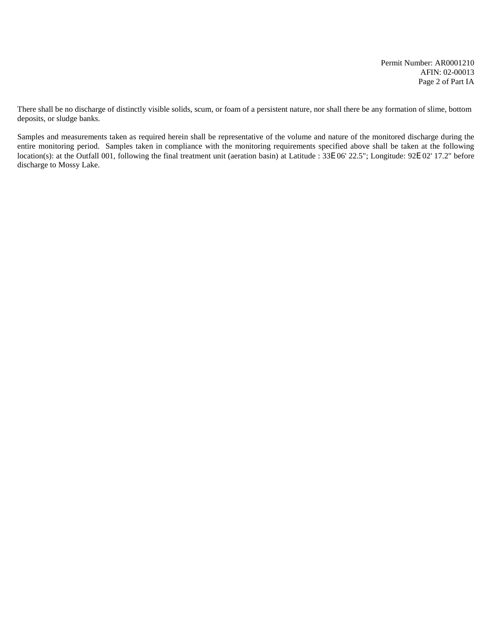Permit Number: AR0001210 AFIN: 02-00013 Page 2 of Part IA

There shall be no discharge of distinctly visible solids, scum, or foam of a persistent nature, nor shall there be any formation of slime, bottom deposits, or sludge banks.

Samples and measurements taken as required herein shall be representative of the volume and nature of the monitored discharge during the entire monitoring period. Samples taken in compliance with the monitoring requirements specified above shall be taken at the following location(s): at the Outfall 001, following the final treatment unit (aeration basin) at Latitude : 33E 06' 22.5"; Longitude: 92E 02' 17.2" before discharge to Mossy Lake.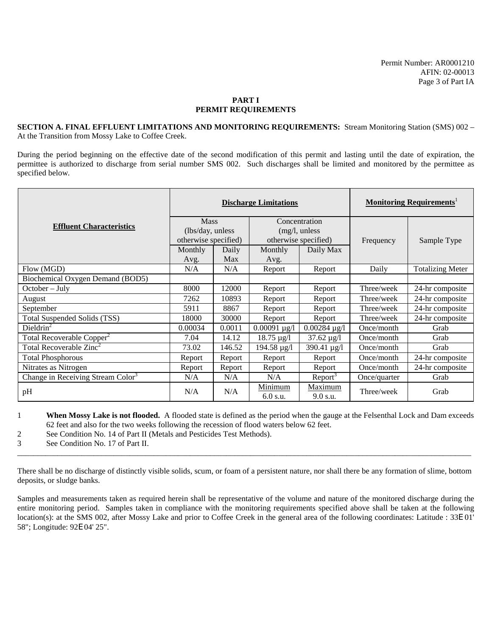**SECTION A. FINAL EFFLUENT LIMITATIONS AND MONITORING REQUIREMENTS:** Stream Monitoring Station (SMS) 002 – At the Transition from Mossy Lake to Coffee Creek.

During the period beginning on the effective date of the second modification of this permit and lasting until the date of expiration, the permittee is authorized to discharge from serial number SMS 002. Such discharges shall be limited and monitored by the permittee as specified below.

|                                               | <b>Discharge Limitations</b> |        |                     |                      | <b>Monitoring Requirements</b> |                         |
|-----------------------------------------------|------------------------------|--------|---------------------|----------------------|--------------------------------|-------------------------|
| <b>Effluent Characteristics</b>               | <b>Mass</b>                  |        |                     | Concentration        |                                |                         |
|                                               | (lbs/day, unless)            |        |                     | (mg/l, unless        |                                |                         |
|                                               | otherwise specified)         |        |                     | otherwise specified) | Frequency                      | Sample Type             |
|                                               | Monthly                      | Daily  | Monthly             | Daily Max            |                                |                         |
|                                               | Avg.                         | Max    | Avg.                |                      |                                |                         |
| Flow (MGD)                                    | N/A                          | N/A    | Report              | Report               | Daily                          | <b>Totalizing Meter</b> |
| Biochemical Oxygen Demand (BOD5)              |                              |        |                     |                      |                                |                         |
| $October - July$                              | 8000                         | 12000  | Report              | Report               | Three/week                     | 24-hr composite         |
| August                                        | 7262                         | 10893  | Report              | Report               | Three/week                     | 24-hr composite         |
| September                                     | 5911                         | 8867   | Report              | Report               | Three/week                     | 24-hr composite         |
| Total Suspended Solids (TSS)                  | 18000                        | 30000  | Report              | Report               | Three/week                     | 24-hr composite         |
| Dieldrin <sup>2</sup>                         | 0.00034                      | 0.0011 | $0.00091 \,\mu g/l$ | $0.00284 \,\mu g/l$  | Once/month                     | Grab                    |
| Total Recoverable Copper <sup>2</sup>         | 7.04                         | 14.12  | $18.75 \,\mu g/l$   | $37.62 \,\mu g/l$    | Once/month                     | Grab                    |
| Total Recoverable Zinc <sup>2</sup>           | 73.02                        | 146.52 | $194.58 \,\mu g/l$  | 390.41 $\mu$ g/l     | Once/month                     | Grab                    |
| <b>Total Phosphorous</b>                      | Report                       | Report | Report              | Report               | Once/month                     | 24-hr composite         |
| Nitrates as Nitrogen                          | Report                       | Report | Report              | Report               | Once/month                     | 24-hr composite         |
| Change in Receiving Stream Color <sup>3</sup> | N/A                          | N/A    | N/A                 | $Report^3$           | Once/quarter                   | Grab                    |
| pH                                            | N/A                          | N/A    | Minimum<br>6.0 s.u. | Maximum<br>9.0 s.u.  | Three/week                     | Grab                    |

1 **When Mossy Lake is not flooded.** A flooded state is defined as the period when the gauge at the Felsenthal Lock and Dam exceeds 62 feet and also for the two weeks following the recession of flood waters below 62 feet.

2 See Condition No. 14 of Part II (Metals and Pesticides Test Methods).

3 See Condition No. 17 of Part II.

There shall be no discharge of distinctly visible solids, scum, or foam of a persistent nature, nor shall there be any formation of slime, bottom deposits, or sludge banks.

\_\_\_\_\_\_\_\_\_\_\_\_\_\_\_\_\_\_\_\_\_\_\_\_\_\_\_\_\_\_\_\_\_\_\_\_\_\_\_\_\_\_\_\_\_\_\_\_\_\_\_\_\_\_\_\_\_\_\_\_\_\_\_\_\_\_\_\_\_\_\_\_\_\_\_\_\_\_\_\_\_\_\_\_\_\_\_\_\_\_\_\_\_\_\_\_\_\_\_\_\_\_\_\_\_\_\_\_\_\_\_\_\_

Samples and measurements taken as required herein shall be representative of the volume and nature of the monitored discharge during the entire monitoring period. Samples taken in compliance with the monitoring requirements specified above shall be taken at the following location(s): at the SMS 002, after Mossy Lake and prior to Coffee Creek in the general area of the following coordinates: Latitude : 33E 01' 58"; Longitude: 92E 04' 25".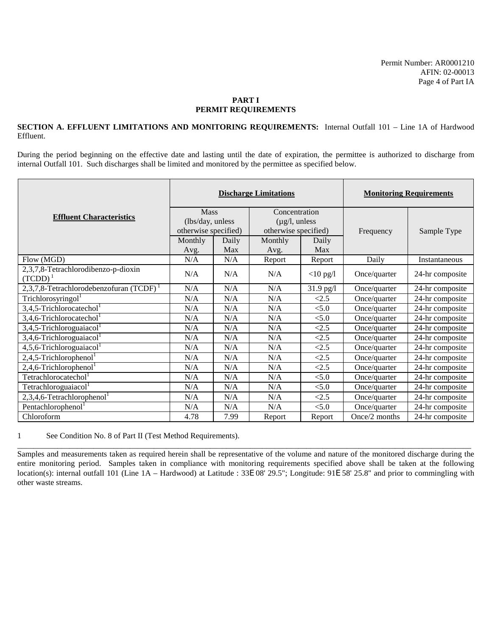#### **SECTION A. EFFLUENT LIMITATIONS AND MONITORING REQUIREMENTS:** Internal Outfall 101 – Line 1A of Hardwood Effluent.

During the period beginning on the effective date and lasting until the date of expiration, the permittee is authorized to discharge from internal Outfall 101. Such discharges shall be limited and monitored by the permittee as specified below.

|                                                   | <b>Discharge Limitations</b> |       |                            |             | <b>Monitoring Requirements</b> |                 |
|---------------------------------------------------|------------------------------|-------|----------------------------|-------------|--------------------------------|-----------------|
| <b>Effluent Characteristics</b>                   | Mass                         |       | Concentration              |             |                                |                 |
|                                                   | (lbs/day, unless             |       | $(\mu g/l, \text{unless})$ |             |                                |                 |
|                                                   | otherwise specified)         |       | otherwise specified)       |             | Frequency                      | Sample Type     |
|                                                   | Monthly                      | Daily | Monthly                    | Daily       |                                |                 |
|                                                   | Avg.                         | Max   | Avg.                       | Max         |                                |                 |
| Flow (MGD)                                        | N/A                          | N/A   | Report                     | Report      | Daily                          | Instantaneous   |
| 2,3,7,8-Tetrachlorodibenzo-p-dioxin<br>$(TCDD)^1$ | N/A                          | N/A   | N/A                        | $<$ 10 pg/l | Once/quarter                   | 24-hr composite |
| 2,3,7,8-Tetrachlorodebenzofuran (TCDF)            | N/A                          | N/A   | N/A                        | $31.9$ pg/l | Once/quarter                   | 24-hr composite |
| Trichlorosyringol                                 | N/A                          | N/A   | N/A                        | <2.5        | Once/quarter                   | 24-hr composite |
| $3,4,5$ -Trichlorocatechol <sup>1</sup>           | N/A                          | N/A   | N/A                        | < 5.0       | Once/quarter                   | 24-hr composite |
| $3,4,6$ -Trichlorocatechol <sup>1</sup>           | N/A                          | N/A   | N/A                        | < 5.0       | Once/quarter                   | 24-hr composite |
| $3,4,5$ -Trichloroguaiacol <sup>1</sup>           | N/A                          | N/A   | N/A                        | <2.5        | Once/quarter                   | 24-hr composite |
| $3,4,6$ -Trichloroguaiacol <sup>1</sup>           | N/A                          | N/A   | N/A                        | < 2.5       | Once/quarter                   | 24-hr composite |
| $4,5,6$ -Trichloroguaiacol <sup>1</sup>           | N/A                          | N/A   | N/A                        | < 2.5       | Once/quarter                   | 24-hr composite |
| $2,4,5$ -Trichlorophenol <sup>1</sup>             | N/A                          | N/A   | N/A                        | <2.5        | Once/quarter                   | 24-hr composite |
| $2,4,6$ -Trichlorophenol <sup>1</sup>             | N/A                          | N/A   | N/A                        | < 2.5       | Once/quarter                   | 24-hr composite |
| Tetrachlorocatechol <sup>1</sup>                  | N/A                          | N/A   | N/A                        | < 5.0       | Once/quarter                   | 24-hr composite |
| Tetrachloroguaiacol <sup>1</sup>                  | N/A                          | N/A   | N/A                        | < 5.0       | Once/quarter                   | 24-hr composite |
| $2,3,4,6$ -Tetrachlorophenol <sup>1</sup>         | N/A                          | N/A   | N/A                        | < 2.5       | Once/quarter                   | 24-hr composite |
| Pentachlorophenol <sup>1</sup>                    | N/A                          | N/A   | N/A                        | < 5.0       | Once/quarter                   | 24-hr composite |
| Chloroform                                        | 4.78                         | 7.99  | Report                     | Report      | Once/2 months                  | 24-hr composite |

1 See Condition No. 8 of Part II (Test Method Requirements).

\_\_\_\_\_\_\_\_\_\_\_\_\_\_\_\_\_\_\_\_\_\_\_\_\_\_\_\_\_\_\_\_\_\_\_\_\_\_\_\_\_\_\_\_\_\_\_\_\_\_\_\_\_\_\_\_\_\_\_\_\_\_\_\_\_\_\_\_\_\_\_\_\_\_\_\_\_\_\_\_\_\_\_\_\_\_\_\_\_\_\_\_\_\_\_\_\_\_\_\_\_\_\_\_\_\_\_\_\_\_\_\_\_ Samples and measurements taken as required herein shall be representative of the volume and nature of the monitored discharge during the entire monitoring period. Samples taken in compliance with monitoring requirements specified above shall be taken at the following location(s): internal outfall 101 (Line 1A – Hardwood) at Latitude : 33E 08' 29.5"; Longitude: 91E 58' 25.8" and prior to commingling with other waste streams.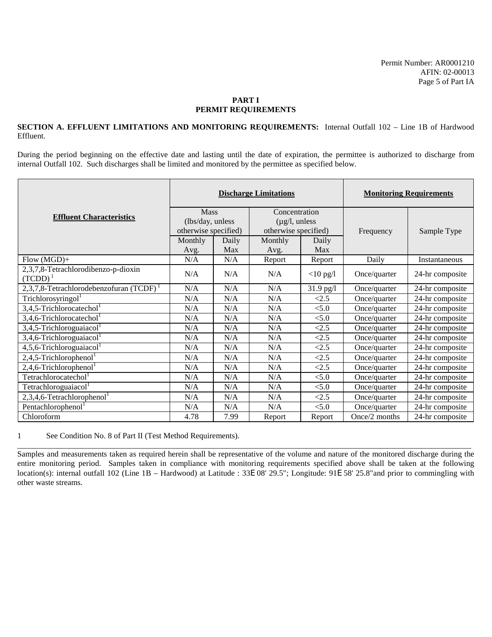#### **SECTION A. EFFLUENT LIMITATIONS AND MONITORING REQUIREMENTS:** Internal Outfall 102 – Line 1B of Hardwood Effluent.

During the period beginning on the effective date and lasting until the date of expiration, the permittee is authorized to discharge from internal Outfall 102. Such discharges shall be limited and monitored by the permittee as specified below.

|                                                   | <b>Discharge Limitations</b> |       |                            |             | <b>Monitoring Requirements</b> |                 |
|---------------------------------------------------|------------------------------|-------|----------------------------|-------------|--------------------------------|-----------------|
| <b>Effluent Characteristics</b>                   | <b>Mass</b>                  |       | Concentration              |             |                                |                 |
|                                                   | (lbs/day, unless             |       | $(\mu g/l, \text{unless})$ |             |                                |                 |
|                                                   | otherwise specified)         |       | otherwise specified)       |             | Frequency                      | Sample Type     |
|                                                   | Monthly                      | Daily | Monthly                    | Daily       |                                |                 |
|                                                   | Avg.                         | Max   | Avg.                       | Max         |                                |                 |
| $Flow(MGD)+$                                      | N/A                          | N/A   | Report                     | Report      | Daily                          | Instantaneous   |
| 2,3,7,8-Tetrachlorodibenzo-p-dioxin<br>$(TCDD)^1$ | N/A                          | N/A   | N/A                        | $<$ 10 pg/l | Once/quarter                   | 24-hr composite |
| 2,3,7,8-Tetrachlorodebenzofuran (TCDF)            | N/A                          | N/A   | N/A                        | 31.9 pg/l   | Once/quarter                   | 24-hr composite |
| Trichlorosyringol <sup>1</sup>                    | N/A                          | N/A   | N/A                        | <2.5        | Once/quarter                   | 24-hr composite |
| $3,4,5$ -Trichlorocatechol <sup>1</sup>           | N/A                          | N/A   | N/A                        | < 5.0       | Once/quarter                   | 24-hr composite |
| $3,4,6$ -Trichlorocatechol <sup>1</sup>           | N/A                          | N/A   | N/A                        | < 5.0       | Once/quarter                   | 24-hr composite |
| $3,4,5$ -Trichloroguaiacol <sup>1</sup>           | N/A                          | N/A   | N/A                        | <2.5        | Once/quarter                   | 24-hr composite |
| $3,4,6$ -Trichloroguaiacol <sup>1</sup>           | N/A                          | N/A   | N/A                        | < 2.5       | Once/quarter                   | 24-hr composite |
| $4,5,6$ -Trichloroguaiacol <sup>1</sup>           | N/A                          | N/A   | N/A                        | < 2.5       | Once/quarter                   | 24-hr composite |
| $2,4,5$ -Trichlorophenol <sup>1</sup>             | N/A                          | N/A   | N/A                        | < 2.5       | Once/quarter                   | 24-hr composite |
| $2,4,6$ -Trichlorophenol <sup>1</sup>             | N/A                          | N/A   | N/A                        | < 2.5       | Once/quarter                   | 24-hr composite |
| Tetrachlorocatechol <sup>1</sup>                  | N/A                          | N/A   | N/A                        | < 5.0       | Once/quarter                   | 24-hr composite |
| Tetrachloroguaiacol <sup>1</sup>                  | N/A                          | N/A   | N/A                        | < 5.0       | Once/quarter                   | 24-hr composite |
| $2,3,4,6$ -Tetrachlorophenol <sup>1</sup>         | N/A                          | N/A   | N/A                        | < 2.5       | Once/quarter                   | 24-hr composite |
| Pentachlorophenol <sup>1</sup>                    | N/A                          | N/A   | N/A                        | < 5.0       | Once/quarter                   | 24-hr composite |
| Chloroform                                        | 4.78                         | 7.99  | Report                     | Report      | Once/2 months                  | 24-hr composite |

1 See Condition No. 8 of Part II (Test Method Requirements).

\_\_\_\_\_\_\_\_\_\_\_\_\_\_\_\_\_\_\_\_\_\_\_\_\_\_\_\_\_\_\_\_\_\_\_\_\_\_\_\_\_\_\_\_\_\_\_\_\_\_\_\_\_\_\_\_\_\_\_\_\_\_\_\_\_\_\_\_\_\_\_\_\_\_\_\_\_\_\_\_\_\_\_\_\_\_\_\_\_\_\_\_\_\_\_\_\_\_\_\_\_\_\_\_\_\_\_\_\_\_\_\_\_ Samples and measurements taken as required herein shall be representative of the volume and nature of the monitored discharge during the entire monitoring period. Samples taken in compliance with monitoring requirements specified above shall be taken at the following location(s): internal outfall 102 (Line 1B – Hardwood) at Latitude : 33E 08' 29.5"; Longitude: 91E 58' 25.8"and prior to commingling with other waste streams.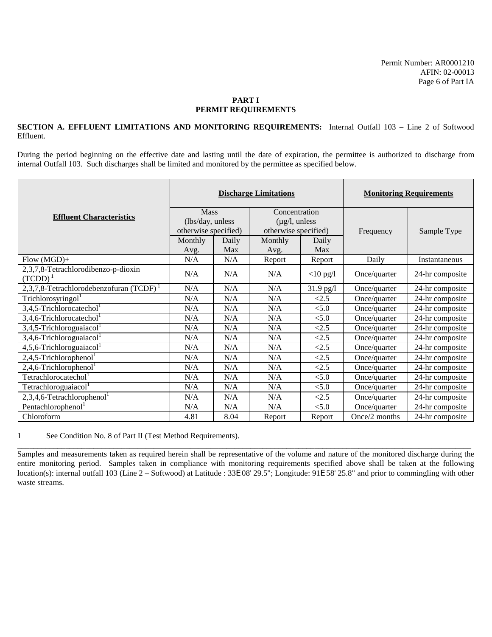#### **SECTION A. EFFLUENT LIMITATIONS AND MONITORING REQUIREMENTS:** Internal Outfall 103 – Line 2 of Softwood Effluent.

During the period beginning on the effective date and lasting until the date of expiration, the permittee is authorized to discharge from internal Outfall 103. Such discharges shall be limited and monitored by the permittee as specified below.

|                                                   | <b>Discharge Limitations</b> |       |                            |             | <b>Monitoring Requirements</b> |                 |
|---------------------------------------------------|------------------------------|-------|----------------------------|-------------|--------------------------------|-----------------|
| <b>Effluent Characteristics</b>                   | Mass                         |       | Concentration              |             |                                |                 |
|                                                   | (lbs/day, unless             |       | $(\mu g/l, \text{unless})$ |             |                                |                 |
|                                                   | otherwise specified)         |       | otherwise specified)       |             | Frequency                      | Sample Type     |
|                                                   | Monthly                      | Daily | Monthly                    | Daily       |                                |                 |
|                                                   | Avg.                         | Max   | Avg.                       | Max         |                                |                 |
| $Flow(MGD)+$                                      | N/A                          | N/A   | Report                     | Report      | Daily                          | Instantaneous   |
| 2,3,7,8-Tetrachlorodibenzo-p-dioxin<br>$(TCDD)^1$ | N/A                          | N/A   | N/A                        | $<$ 10 pg/l | Once/quarter                   | 24-hr composite |
| 2,3,7,8-Tetrachlorodebenzofuran (TCDF)            | N/A                          | N/A   | N/A                        | $31.9$ pg/l | Once/quarter                   | 24-hr composite |
| Trichlorosyringol                                 | N/A                          | N/A   | N/A                        | <2.5        | Once/quarter                   | 24-hr composite |
| $3,4,5$ -Trichlorocatechol <sup>1</sup>           | N/A                          | N/A   | N/A                        | < 5.0       | Once/quarter                   | 24-hr composite |
| $3,4,6$ -Trichlorocatechol <sup>1</sup>           | N/A                          | N/A   | N/A                        | < 5.0       | Once/quarter                   | 24-hr composite |
| $3,4,5$ -Trichloroguaiacol <sup>1</sup>           | N/A                          | N/A   | N/A                        | <2.5        | Once/quarter                   | 24-hr composite |
| $3,4,6$ -Trichloroguaiacol <sup>1</sup>           | N/A                          | N/A   | N/A                        | < 2.5       | Once/quarter                   | 24-hr composite |
| $4,5,6$ -Trichloroguaiacol <sup>1</sup>           | N/A                          | N/A   | N/A                        | < 2.5       | Once/quarter                   | 24-hr composite |
| $2,4,5$ -Trichlorophenol <sup>1</sup>             | N/A                          | N/A   | N/A                        | <2.5        | Once/quarter                   | 24-hr composite |
| $2,4,6$ -Trichlorophenol <sup>1</sup>             | N/A                          | N/A   | N/A                        | < 2.5       | Once/quarter                   | 24-hr composite |
| Tetrachlorocatechol <sup>1</sup>                  | N/A                          | N/A   | N/A                        | < 5.0       | Once/quarter                   | 24-hr composite |
| Tetrachloroguaiacol <sup>1</sup>                  | N/A                          | N/A   | N/A                        | < 5.0       | Once/quarter                   | 24-hr composite |
| $2,3,4,6$ -Tetrachlorophenol <sup>1</sup>         | N/A                          | N/A   | N/A                        | < 2.5       | Once/quarter                   | 24-hr composite |
| Pentachlorophenol <sup>1</sup>                    | N/A                          | N/A   | N/A                        | < 5.0       | Once/quarter                   | 24-hr composite |
| Chloroform                                        | 4.81                         | 8.04  | Report                     | Report      | Once/2 months                  | 24-hr composite |

1 See Condition No. 8 of Part II (Test Method Requirements).

\_\_\_\_\_\_\_\_\_\_\_\_\_\_\_\_\_\_\_\_\_\_\_\_\_\_\_\_\_\_\_\_\_\_\_\_\_\_\_\_\_\_\_\_\_\_\_\_\_\_\_\_\_\_\_\_\_\_\_\_\_\_\_\_\_\_\_\_\_\_\_\_\_\_\_\_\_\_\_\_\_\_\_\_\_\_\_\_\_\_\_\_\_\_\_\_\_\_\_\_\_\_\_\_\_\_\_\_\_\_\_\_\_ Samples and measurements taken as required herein shall be representative of the volume and nature of the monitored discharge during the entire monitoring period. Samples taken in compliance with monitoring requirements specified above shall be taken at the following location(s): internal outfall 103 (Line 2 – Softwood) at Latitude : 33E 08' 29.5"; Longitude: 91E 58' 25.8" and prior to commingling with other waste streams.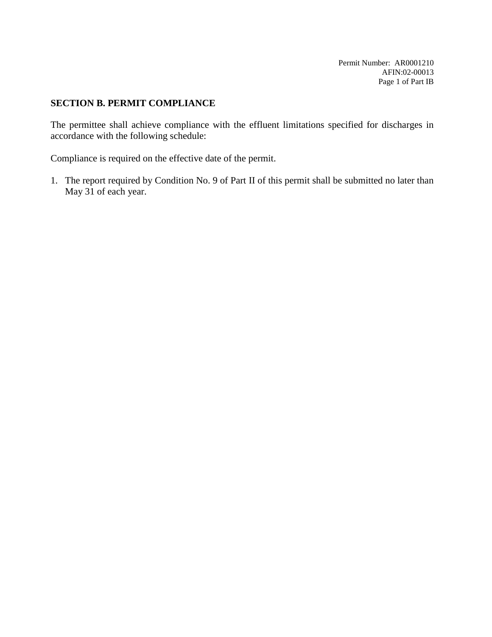Permit Number: AR0001210 AFIN:02-00013 Page 1 of Part IB

# **SECTION B. PERMIT COMPLIANCE**

The permittee shall achieve compliance with the effluent limitations specified for discharges in accordance with the following schedule:

Compliance is required on the effective date of the permit.

1. The report required by Condition No. 9 of Part II of this permit shall be submitted no later than May 31 of each year.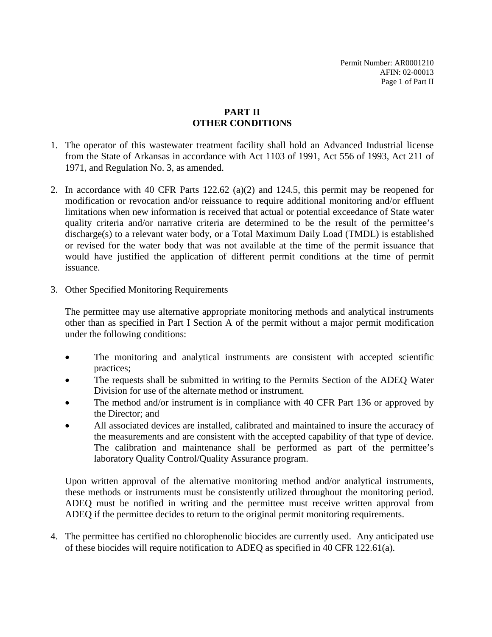# **PART II OTHER CONDITIONS**

- 1. The operator of this wastewater treatment facility shall hold an Advanced Industrial license from the State of Arkansas in accordance with Act 1103 of 1991, Act 556 of 1993, Act 211 of 1971, and Regulation No. 3, as amended.
- 2. In accordance with 40 CFR Parts 122.62 (a)(2) and 124.5, this permit may be reopened for modification or revocation and/or reissuance to require additional monitoring and/or effluent limitations when new information is received that actual or potential exceedance of State water quality criteria and/or narrative criteria are determined to be the result of the permittee's discharge(s) to a relevant water body, or a Total Maximum Daily Load (TMDL) is established or revised for the water body that was not available at the time of the permit issuance that would have justified the application of different permit conditions at the time of permit issuance.
- 3. Other Specified Monitoring Requirements

The permittee may use alternative appropriate monitoring methods and analytical instruments other than as specified in Part I Section A of the permit without a major permit modification under the following conditions:

- The monitoring and analytical instruments are consistent with accepted scientific practices;
- The requests shall be submitted in writing to the Permits Section of the ADEQ Water Division for use of the alternate method or instrument.
- The method and/or instrument is in compliance with 40 CFR Part 136 or approved by the Director; and
- All associated devices are installed, calibrated and maintained to insure the accuracy of the measurements and are consistent with the accepted capability of that type of device. The calibration and maintenance shall be performed as part of the permittee's laboratory Quality Control/Quality Assurance program.

Upon written approval of the alternative monitoring method and/or analytical instruments, these methods or instruments must be consistently utilized throughout the monitoring period. ADEQ must be notified in writing and the permittee must receive written approval from ADEQ if the permittee decides to return to the original permit monitoring requirements.

4. The permittee has certified no chlorophenolic biocides are currently used. Any anticipated use of these biocides will require notification to ADEQ as specified in 40 CFR 122.61(a).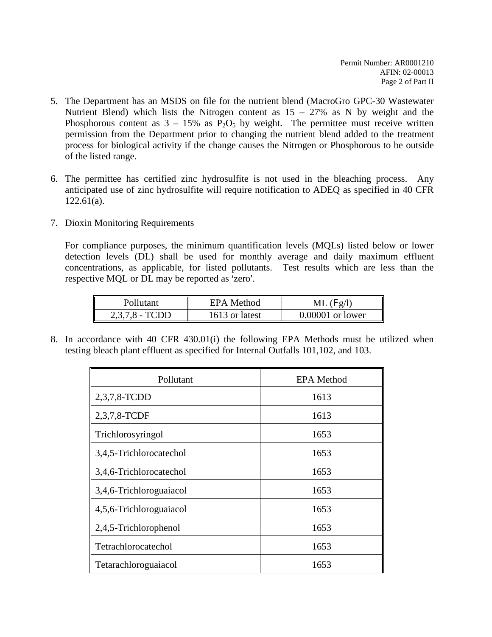- 5. The Department has an MSDS on file for the nutrient blend (MacroGro GPC-30 Wastewater Nutrient Blend) which lists the Nitrogen content as  $15 - 27\%$  as N by weight and the Phosphorous content as  $3 - 15\%$  as  $P_2O_5$  by weight. The permittee must receive written permission from the Department prior to changing the nutrient blend added to the treatment process for biological activity if the change causes the Nitrogen or Phosphorous to be outside of the listed range.
- 6. The permittee has certified zinc hydrosulfite is not used in the bleaching process. Any anticipated use of zinc hydrosulfite will require notification to ADEQ as specified in 40 CFR 122.61(a).
- 7. Dioxin Monitoring Requirements

For compliance purposes, the minimum quantification levels (MQLs) listed below or lower detection levels (DL) shall be used for monthly average and daily maximum effluent concentrations, as applicable, for listed pollutants. Test results which are less than the respective MQL or DL may be reported as 'zero'.

| Pollutant        | EPA Method     | $ML$ (Fg/l)        |
|------------------|----------------|--------------------|
| $2,3,7,8$ - TCDD | 1613 or latest | $0.00001$ or lower |

8. In accordance with 40 CFR 430.01(i) the following EPA Methods must be utilized when testing bleach plant effluent as specified for Internal Outfalls 101,102, and 103.

| Pollutant               | <b>EPA</b> Method |
|-------------------------|-------------------|
| 2,3,7,8-TCDD            | 1613              |
| 2,3,7,8-TCDF            | 1613              |
| Trichlorosyringol       | 1653              |
| 3,4,5-Trichlorocatechol | 1653              |
| 3,4,6-Trichlorocatechol | 1653              |
| 3,4,6-Trichloroguaiacol | 1653              |
| 4,5,6-Trichloroguaiacol | 1653              |
| 2,4,5-Trichlorophenol   | 1653              |
| Tetrachlorocatechol     | 1653              |
| Tetarachloroguaiacol    | 1653              |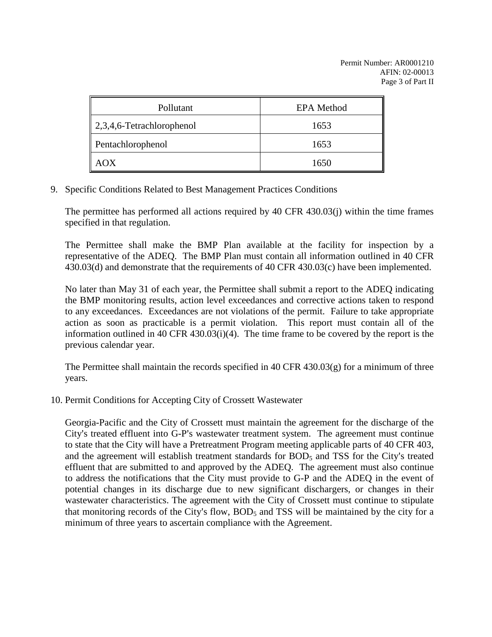| Pollutant                             | <b>EPA</b> Method |
|---------------------------------------|-------------------|
| $\parallel$ 2,3,4,6-Tetrachlorophenol | 1653              |
| Pentachlorophenol                     | 1653              |
| (X(                                   | 1650              |

9. Specific Conditions Related to Best Management Practices Conditions

The permittee has performed all actions required by 40 CFR 430.03(j) within the time frames specified in that regulation.

The Permittee shall make the BMP Plan available at the facility for inspection by a representative of the ADEQ. The BMP Plan must contain all information outlined in 40 CFR 430.03(d) and demonstrate that the requirements of 40 CFR 430.03(c) have been implemented.

No later than May 31 of each year, the Permittee shall submit a report to the ADEQ indicating the BMP monitoring results, action level exceedances and corrective actions taken to respond to any exceedances. Exceedances are not violations of the permit. Failure to take appropriate action as soon as practicable is a permit violation. This report must contain all of the information outlined in 40 CFR 430.03(i)(4). The time frame to be covered by the report is the previous calendar year.

The Permittee shall maintain the records specified in 40 CFR 430.03(g) for a minimum of three years.

10. Permit Conditions for Accepting City of Crossett Wastewater

Georgia-Pacific and the City of Crossett must maintain the agreement for the discharge of the City's treated effluent into G-P's wastewater treatment system. The agreement must continue to state that the City will have a Pretreatment Program meeting applicable parts of 40 CFR 403, and the agreement will establish treatment standards for  $BOD<sub>5</sub>$  and TSS for the City's treated effluent that are submitted to and approved by the ADEQ. The agreement must also continue to address the notifications that the City must provide to G-P and the ADEQ in the event of potential changes in its discharge due to new significant dischargers, or changes in their wastewater characteristics. The agreement with the City of Crossett must continue to stipulate that monitoring records of the City's flow,  $BOD<sub>5</sub>$  and TSS will be maintained by the city for a minimum of three years to ascertain compliance with the Agreement.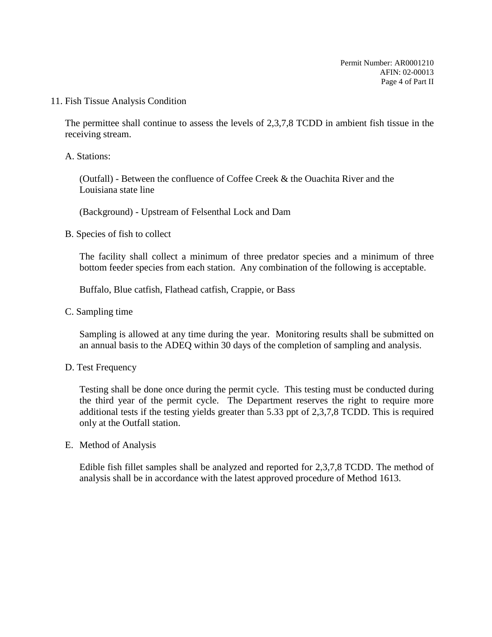11. Fish Tissue Analysis Condition

The permittee shall continue to assess the levels of 2,3,7,8 TCDD in ambient fish tissue in the receiving stream.

A. Stations:

(Outfall) - Between the confluence of Coffee Creek & the Ouachita River and the Louisiana state line

(Background) - Upstream of Felsenthal Lock and Dam

B. Species of fish to collect

The facility shall collect a minimum of three predator species and a minimum of three bottom feeder species from each station. Any combination of the following is acceptable.

Buffalo, Blue catfish, Flathead catfish, Crappie, or Bass

C. Sampling time

Sampling is allowed at any time during the year. Monitoring results shall be submitted on an annual basis to the ADEQ within 30 days of the completion of sampling and analysis.

D. Test Frequency

Testing shall be done once during the permit cycle. This testing must be conducted during the third year of the permit cycle. The Department reserves the right to require more additional tests if the testing yields greater than 5.33 ppt of 2,3,7,8 TCDD. This is required only at the Outfall station.

E. Method of Analysis

Edible fish fillet samples shall be analyzed and reported for 2,3,7,8 TCDD. The method of analysis shall be in accordance with the latest approved procedure of Method 1613.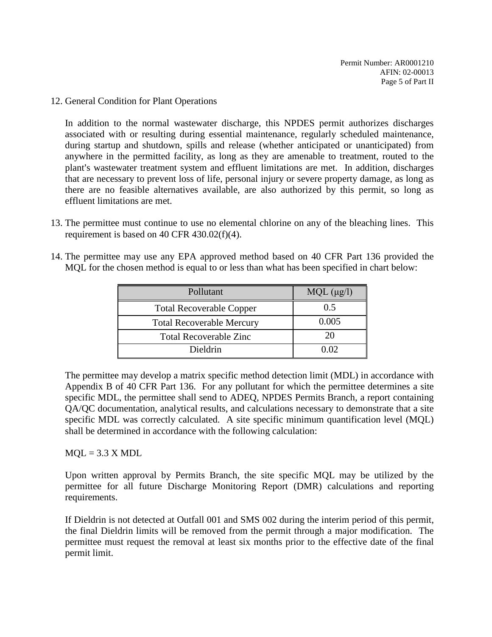12. General Condition for Plant Operations

In addition to the normal wastewater discharge, this NPDES permit authorizes discharges associated with or resulting during essential maintenance, regularly scheduled maintenance, during startup and shutdown, spills and release (whether anticipated or unanticipated) from anywhere in the permitted facility, as long as they are amenable to treatment, routed to the plant's wastewater treatment system and effluent limitations are met. In addition, discharges that are necessary to prevent loss of life, personal injury or severe property damage, as long as there are no feasible alternatives available, are also authorized by this permit, so long as effluent limitations are met.

- 13. The permittee must continue to use no elemental chlorine on any of the bleaching lines. This requirement is based on 40 CFR 430.02(f)(4).
- 14. The permittee may use any EPA approved method based on 40 CFR Part 136 provided the MQL for the chosen method is equal to or less than what has been specified in chart below:

| Pollutant                        | $MQL$ ( $\mu$ g/l) |
|----------------------------------|--------------------|
| <b>Total Recoverable Copper</b>  | 0.5                |
| <b>Total Recoverable Mercury</b> | 0.005              |
| <b>Total Recoverable Zinc</b>    | 20                 |
| Dieldrin                         | 0.02               |

The permittee may develop a matrix specific method detection limit (MDL) in accordance with Appendix B of 40 CFR Part 136. For any pollutant for which the permittee determines a site specific MDL, the permittee shall send to ADEQ, NPDES Permits Branch, a report containing QA/QC documentation, analytical results, and calculations necessary to demonstrate that a site specific MDL was correctly calculated. A site specific minimum quantification level (MQL) shall be determined in accordance with the following calculation:

### $MOL = 3.3 X MDL$

Upon written approval by Permits Branch, the site specific MQL may be utilized by the permittee for all future Discharge Monitoring Report (DMR) calculations and reporting requirements.

If Dieldrin is not detected at Outfall 001 and SMS 002 during the interim period of this permit, the final Dieldrin limits will be removed from the permit through a major modification. The permittee must request the removal at least six months prior to the effective date of the final permit limit.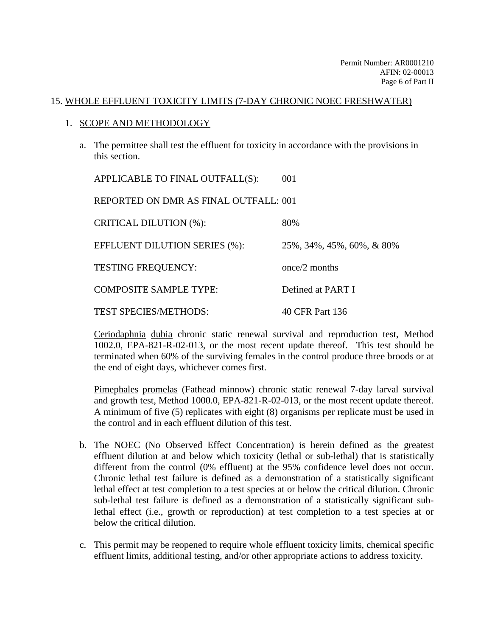### 15. WHOLE EFFLUENT TOXICITY LIMITS (7-DAY CHRONIC NOEC FRESHWATER)

### 1. SCOPE AND METHODOLOGY

a. The permittee shall test the effluent for toxicity in accordance with the provisions in this section.

| APPLICABLE TO FINAL OUTFALL(S):       | 001                       |
|---------------------------------------|---------------------------|
| REPORTED ON DMR AS FINAL OUTFALL: 001 |                           |
| <b>CRITICAL DILUTION (%):</b>         | 80%                       |
| <b>EFFLUENT DILUTION SERIES (%):</b>  | 25%, 34%, 45%, 60%, & 80% |
| <b>TESTING FREQUENCY:</b>             | once/2 months             |
| <b>COMPOSITE SAMPLE TYPE:</b>         | Defined at PART I         |
| <b>TEST SPECIES/METHODS:</b>          | 40 CFR Part 136           |

Ceriodaphnia dubia chronic static renewal survival and reproduction test, Method 1002.0, EPA-821-R-02-013, or the most recent update thereof. This test should be terminated when 60% of the surviving females in the control produce three broods or at the end of eight days, whichever comes first.

Pimephales promelas (Fathead minnow) chronic static renewal 7-day larval survival and growth test, Method 1000.0, EPA-821-R-02-013, or the most recent update thereof. A minimum of five (5) replicates with eight (8) organisms per replicate must be used in the control and in each effluent dilution of this test.

- b. The NOEC (No Observed Effect Concentration) is herein defined as the greatest effluent dilution at and below which toxicity (lethal or sub-lethal) that is statistically different from the control (0% effluent) at the 95% confidence level does not occur. Chronic lethal test failure is defined as a demonstration of a statistically significant lethal effect at test completion to a test species at or below the critical dilution. Chronic sub-lethal test failure is defined as a demonstration of a statistically significant sublethal effect (i.e., growth or reproduction) at test completion to a test species at or below the critical dilution.
- c. This permit may be reopened to require whole effluent toxicity limits, chemical specific effluent limits, additional testing, and/or other appropriate actions to address toxicity.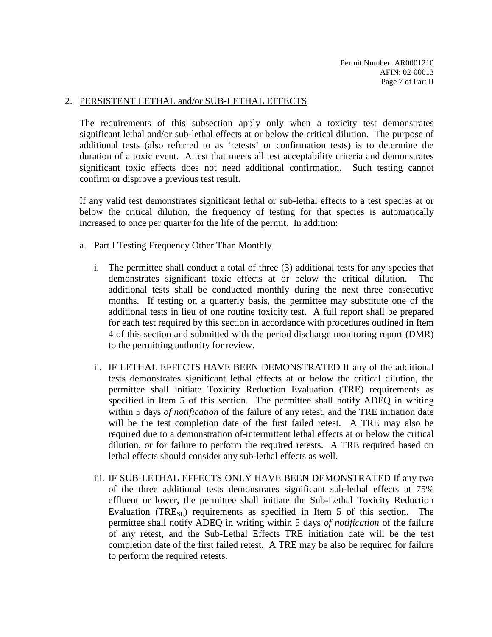#### 2. PERSISTENT LETHAL and/or SUB-LETHAL EFFECTS

The requirements of this subsection apply only when a toxicity test demonstrates significant lethal and/or sub-lethal effects at or below the critical dilution. The purpose of additional tests (also referred to as 'retests' or confirmation tests) is to determine the duration of a toxic event. A test that meets all test acceptability criteria and demonstrates significant toxic effects does not need additional confirmation. Such testing cannot confirm or disprove a previous test result.

If any valid test demonstrates significant lethal or sub-lethal effects to a test species at or below the critical dilution, the frequency of testing for that species is automatically increased to once per quarter for the life of the permit. In addition:

#### a. Part I Testing Frequency Other Than Monthly

- i. The permittee shall conduct a total of three (3) additional tests for any species that demonstrates significant toxic effects at or below the critical dilution. The additional tests shall be conducted monthly during the next three consecutive months. If testing on a quarterly basis, the permittee may substitute one of the additional tests in lieu of one routine toxicity test. A full report shall be prepared for each test required by this section in accordance with procedures outlined in Item 4 of this section and submitted with the period discharge monitoring report (DMR) to the permitting authority for review.
- ii. IF LETHAL EFFECTS HAVE BEEN DEMONSTRATED If any of the additional tests demonstrates significant lethal effects at or below the critical dilution, the permittee shall initiate Toxicity Reduction Evaluation (TRE) requirements as specified in Item 5 of this section. The permittee shall notify ADEQ in writing within 5 days *of notification* of the failure of any retest, and the TRE initiation date will be the test completion date of the first failed retest. A TRE may also be required due to a demonstration of intermittent lethal effects at or below the critical dilution, or for failure to perform the required retests. A TRE required based on lethal effects should consider any sub-lethal effects as well.
- iii. IF SUB-LETHAL EFFECTS ONLY HAVE BEEN DEMONSTRATED If any two of the three additional tests demonstrates significant sub-lethal effects at 75% effluent or lower, the permittee shall initiate the Sub-Lethal Toxicity Reduction Evaluation (TRE $_{\rm{SI}}$ ) requirements as specified in Item 5 of this section. permittee shall notify ADEQ in writing within 5 days *of notification* of the failure of any retest, and the Sub-Lethal Effects TRE initiation date will be the test completion date of the first failed retest. A TRE may be also be required for failure to perform the required retests.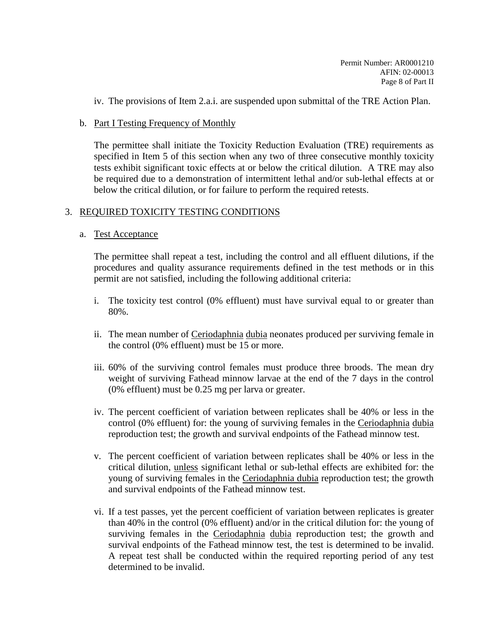iv. The provisions of Item 2.a.i. are suspended upon submittal of the TRE Action Plan.

### b. Part I Testing Frequency of Monthly

The permittee shall initiate the Toxicity Reduction Evaluation (TRE) requirements as specified in Item 5 of this section when any two of three consecutive monthly toxicity tests exhibit significant toxic effects at or below the critical dilution. A TRE may also be required due to a demonstration of intermittent lethal and/or sub-lethal effects at or below the critical dilution, or for failure to perform the required retests.

### 3. REQUIRED TOXICITY TESTING CONDITIONS

### a. Test Acceptance

The permittee shall repeat a test, including the control and all effluent dilutions, if the procedures and quality assurance requirements defined in the test methods or in this permit are not satisfied, including the following additional criteria:

- i. The toxicity test control (0% effluent) must have survival equal to or greater than 80%.
- ii. The mean number of Ceriodaphnia dubia neonates produced per surviving female in the control (0% effluent) must be 15 or more.
- iii. 60% of the surviving control females must produce three broods. The mean dry weight of surviving Fathead minnow larvae at the end of the 7 days in the control (0% effluent) must be 0.25 mg per larva or greater.
- iv. The percent coefficient of variation between replicates shall be 40% or less in the control (0% effluent) for: the young of surviving females in the Ceriodaphnia dubia reproduction test; the growth and survival endpoints of the Fathead minnow test.
- v. The percent coefficient of variation between replicates shall be 40% or less in the critical dilution, unless significant lethal or sub-lethal effects are exhibited for: the young of surviving females in the Ceriodaphnia dubia reproduction test; the growth and survival endpoints of the Fathead minnow test.
- vi. If a test passes, yet the percent coefficient of variation between replicates is greater than 40% in the control (0% effluent) and/or in the critical dilution for: the young of surviving females in the Ceriodaphnia dubia reproduction test; the growth and survival endpoints of the Fathead minnow test, the test is determined to be invalid. A repeat test shall be conducted within the required reporting period of any test determined to be invalid.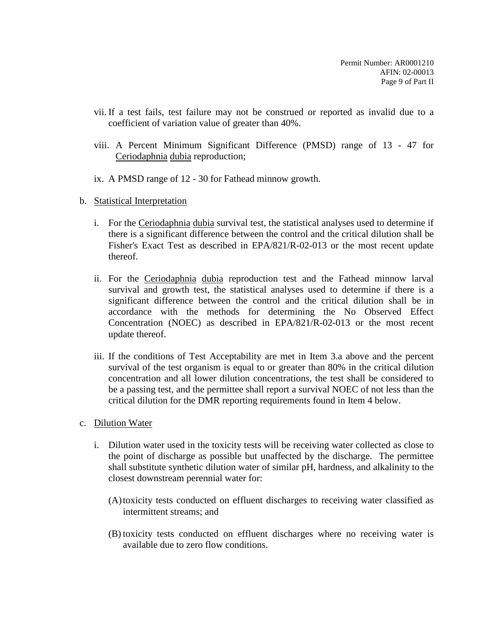- vii. If a test fails, test failure may not be construed or reported as invalid due to a coefficient of variation value of greater than 40%.
- viii. A Percent Minimum Significant Difference (PMSD) range of 13 47 for Ceriodaphnia dubia reproduction;
- ix. A PMSD range of 12 30 for Fathead minnow growth.
- b. Statistical Interpretation
	- i. For the Ceriodaphnia dubia survival test, the statistical analyses used to determine if there is a significant difference between the control and the critical dilution shall be Fisher's Exact Test as described in EPA/821/R-02-013 or the most recent update thereof.
	- ii. For the Ceriodaphnia dubia reproduction test and the Fathead minnow larval survival and growth test, the statistical analyses used to determine if there is a significant difference between the control and the critical dilution shall be in accordance with the methods for determining the No Observed Effect Concentration (NOEC) as described in EPA/821/R-02-013 or the most recent update thereof.
	- iii. If the conditions of Test Acceptability are met in Item 3.a above and the percent survival of the test organism is equal to or greater than 80% in the critical dilution concentration and all lower dilution concentrations, the test shall be considered to be a passing test, and the permittee shall report a survival NOEC of not less than the critical dilution for the DMR reporting requirements found in Item 4 below.
- c. Dilution Water
	- i. Dilution water used in the toxicity tests will be receiving water collected as close to the point of discharge as possible but unaffected by the discharge. The permittee shall substitute synthetic dilution water of similar pH, hardness, and alkalinity to the closest downstream perennial water for:
		- (A)toxicity tests conducted on effluent discharges to receiving water classified as intermittent streams; and
		- (B) toxicity tests conducted on effluent discharges where no receiving water is available due to zero flow conditions.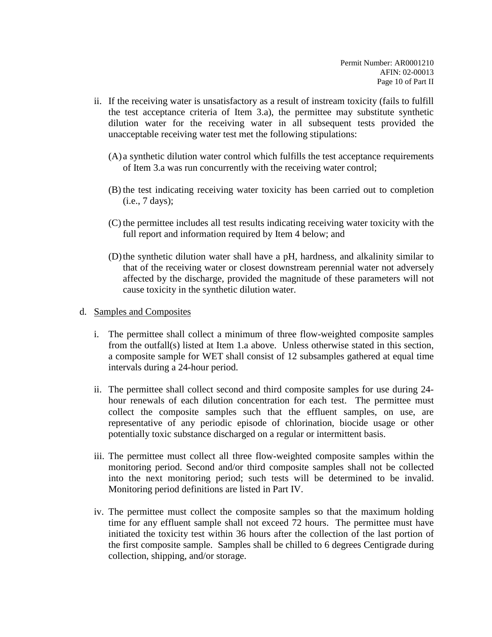- ii. If the receiving water is unsatisfactory as a result of instream toxicity (fails to fulfill the test acceptance criteria of Item 3.a), the permittee may substitute synthetic dilution water for the receiving water in all subsequent tests provided the unacceptable receiving water test met the following stipulations:
	- (A) a synthetic dilution water control which fulfills the test acceptance requirements of Item 3.a was run concurrently with the receiving water control;
	- (B) the test indicating receiving water toxicity has been carried out to completion (i.e., 7 days);
	- (C) the permittee includes all test results indicating receiving water toxicity with the full report and information required by Item 4 below; and
	- (D)the synthetic dilution water shall have a pH, hardness, and alkalinity similar to that of the receiving water or closest downstream perennial water not adversely affected by the discharge, provided the magnitude of these parameters will not cause toxicity in the synthetic dilution water.
- d. Samples and Composites
	- i. The permittee shall collect a minimum of three flow-weighted composite samples from the outfall(s) listed at Item 1.a above. Unless otherwise stated in this section, a composite sample for WET shall consist of 12 subsamples gathered at equal time intervals during a 24-hour period.
	- ii. The permittee shall collect second and third composite samples for use during 24 hour renewals of each dilution concentration for each test. The permittee must collect the composite samples such that the effluent samples, on use, are representative of any periodic episode of chlorination, biocide usage or other potentially toxic substance discharged on a regular or intermittent basis.
	- iii. The permittee must collect all three flow-weighted composite samples within the monitoring period. Second and/or third composite samples shall not be collected into the next monitoring period; such tests will be determined to be invalid. Monitoring period definitions are listed in Part IV.
	- iv. The permittee must collect the composite samples so that the maximum holding time for any effluent sample shall not exceed 72 hours. The permittee must have initiated the toxicity test within 36 hours after the collection of the last portion of the first composite sample. Samples shall be chilled to 6 degrees Centigrade during collection, shipping, and/or storage.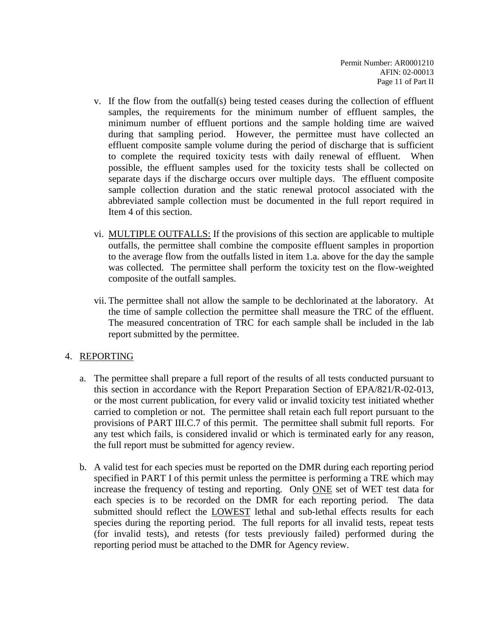- v. If the flow from the outfall(s) being tested ceases during the collection of effluent samples, the requirements for the minimum number of effluent samples, the minimum number of effluent portions and the sample holding time are waived during that sampling period. However, the permittee must have collected an effluent composite sample volume during the period of discharge that is sufficient to complete the required toxicity tests with daily renewal of effluent. When possible, the effluent samples used for the toxicity tests shall be collected on separate days if the discharge occurs over multiple days. The effluent composite sample collection duration and the static renewal protocol associated with the abbreviated sample collection must be documented in the full report required in Item 4 of this section.
- vi. MULTIPLE OUTFALLS: If the provisions of this section are applicable to multiple outfalls, the permittee shall combine the composite effluent samples in proportion to the average flow from the outfalls listed in item 1.a. above for the day the sample was collected. The permittee shall perform the toxicity test on the flow-weighted composite of the outfall samples.
- vii. The permittee shall not allow the sample to be dechlorinated at the laboratory. At the time of sample collection the permittee shall measure the TRC of the effluent. The measured concentration of TRC for each sample shall be included in the lab report submitted by the permittee.

## 4. REPORTING

- a. The permittee shall prepare a full report of the results of all tests conducted pursuant to this section in accordance with the Report Preparation Section of EPA/821/R-02-013, or the most current publication, for every valid or invalid toxicity test initiated whether carried to completion or not. The permittee shall retain each full report pursuant to the provisions of PART III.C.7 of this permit. The permittee shall submit full reports. For any test which fails, is considered invalid or which is terminated early for any reason, the full report must be submitted for agency review.
- b. A valid test for each species must be reported on the DMR during each reporting period specified in PART I of this permit unless the permittee is performing a TRE which may increase the frequency of testing and reporting. Only ONE set of WET test data for each species is to be recorded on the DMR for each reporting period. The data submitted should reflect the LOWEST lethal and sub-lethal effects results for each species during the reporting period. The full reports for all invalid tests, repeat tests (for invalid tests), and retests (for tests previously failed) performed during the reporting period must be attached to the DMR for Agency review.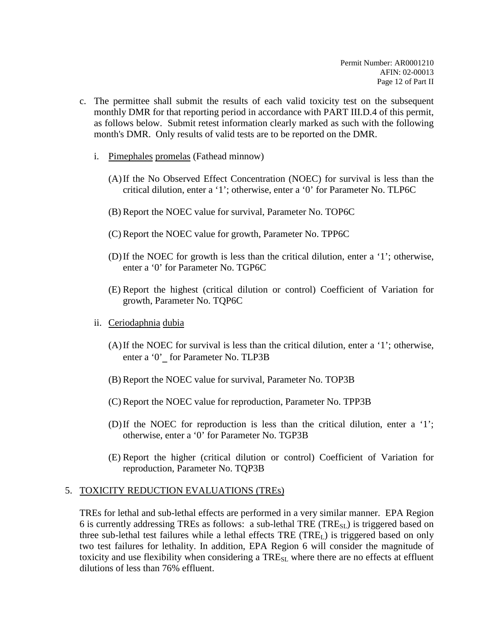- c. The permittee shall submit the results of each valid toxicity test on the subsequent monthly DMR for that reporting period in accordance with PART III.D.4 of this permit, as follows below. Submit retest information clearly marked as such with the following month's DMR. Only results of valid tests are to be reported on the DMR.
	- i. Pimephales promelas (Fathead minnow)
		- (A)If the No Observed Effect Concentration (NOEC) for survival is less than the critical dilution, enter a '1'; otherwise, enter a '0' for Parameter No. TLP6C
		- (B) Report the NOEC value for survival, Parameter No. TOP6C
		- (C) Report the NOEC value for growth, Parameter No. TPP6C
		- (D)If the NOEC for growth is less than the critical dilution, enter a '1'; otherwise, enter a '0' for Parameter No. TGP6C
		- (E) Report the highest (critical dilution or control) Coefficient of Variation for growth, Parameter No. TQP6C
	- ii. Ceriodaphnia dubia
		- (A)If the NOEC for survival is less than the critical dilution, enter a '1'; otherwise, enter a '0'\_ for Parameter No. TLP3B
		- (B) Report the NOEC value for survival, Parameter No. TOP3B
		- (C) Report the NOEC value for reproduction, Parameter No. TPP3B
		- (D)If the NOEC for reproduction is less than the critical dilution, enter a '1'; otherwise, enter a '0' for Parameter No. TGP3B
		- (E) Report the higher (critical dilution or control) Coefficient of Variation for reproduction, Parameter No. TQP3B

## 5. TOXICITY REDUCTION EVALUATIONS (TREs)

TREs for lethal and sub-lethal effects are performed in a very similar manner. EPA Region 6 is currently addressing TREs as follows: a sub-lethal TRE (TRESL) is triggered based on three sub-lethal test failures while a lethal effects  $TRE$  ( $TRE<sub>L</sub>$ ) is triggered based on only two test failures for lethality. In addition, EPA Region 6 will consider the magnitude of toxicity and use flexibility when considering a TRE<sub>SL</sub> where there are no effects at effluent dilutions of less than 76% effluent.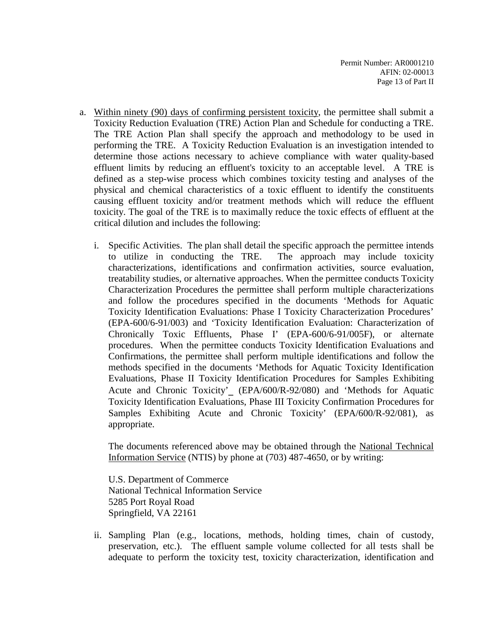- a. Within ninety (90) days of confirming persistent toxicity, the permittee shall submit a Toxicity Reduction Evaluation (TRE) Action Plan and Schedule for conducting a TRE. The TRE Action Plan shall specify the approach and methodology to be used in performing the TRE. A Toxicity Reduction Evaluation is an investigation intended to determine those actions necessary to achieve compliance with water quality-based effluent limits by reducing an effluent's toxicity to an acceptable level. A TRE is defined as a step-wise process which combines toxicity testing and analyses of the physical and chemical characteristics of a toxic effluent to identify the constituents causing effluent toxicity and/or treatment methods which will reduce the effluent toxicity. The goal of the TRE is to maximally reduce the toxic effects of effluent at the critical dilution and includes the following:
	- i. Specific Activities. The plan shall detail the specific approach the permittee intends to utilize in conducting the TRE. The approach may include toxicity characterizations, identifications and confirmation activities, source evaluation, treatability studies, or alternative approaches. When the permittee conducts Toxicity Characterization Procedures the permittee shall perform multiple characterizations and follow the procedures specified in the documents 'Methods for Aquatic Toxicity Identification Evaluations: Phase I Toxicity Characterization Procedures' (EPA-600/6-91/003) and 'Toxicity Identification Evaluation: Characterization of Chronically Toxic Effluents, Phase I' (EPA-600/6-91/005F), or alternate procedures. When the permittee conducts Toxicity Identification Evaluations and Confirmations, the permittee shall perform multiple identifications and follow the methods specified in the documents 'Methods for Aquatic Toxicity Identification Evaluations, Phase II Toxicity Identification Procedures for Samples Exhibiting Acute and Chronic Toxicity'\_ (EPA/600/R-92/080) and 'Methods for Aquatic Toxicity Identification Evaluations, Phase III Toxicity Confirmation Procedures for Samples Exhibiting Acute and Chronic Toxicity' (EPA/600/R-92/081), as appropriate.

The documents referenced above may be obtained through the National Technical Information Service (NTIS) by phone at (703) 487-4650, or by writing:

U.S. Department of Commerce National Technical Information Service 5285 Port Royal Road Springfield, VA 22161

ii. Sampling Plan (e.g., locations, methods, holding times, chain of custody, preservation, etc.). The effluent sample volume collected for all tests shall be adequate to perform the toxicity test, toxicity characterization, identification and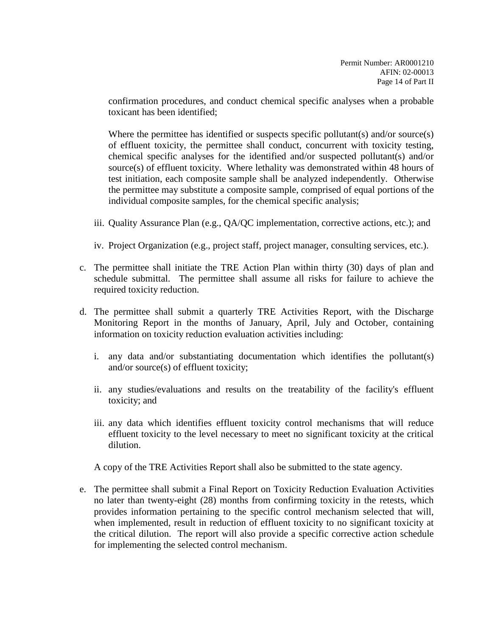confirmation procedures, and conduct chemical specific analyses when a probable toxicant has been identified;

Where the permittee has identified or suspects specific pollutant(s) and/or source(s) of effluent toxicity, the permittee shall conduct, concurrent with toxicity testing, chemical specific analyses for the identified and/or suspected pollutant(s) and/or source(s) of effluent toxicity. Where lethality was demonstrated within 48 hours of test initiation, each composite sample shall be analyzed independently. Otherwise the permittee may substitute a composite sample, comprised of equal portions of the individual composite samples, for the chemical specific analysis;

- iii. Quality Assurance Plan (e.g., QA/QC implementation, corrective actions, etc.); and
- iv. Project Organization (e.g., project staff, project manager, consulting services, etc.).
- c. The permittee shall initiate the TRE Action Plan within thirty (30) days of plan and schedule submittal. The permittee shall assume all risks for failure to achieve the required toxicity reduction.
- d. The permittee shall submit a quarterly TRE Activities Report, with the Discharge Monitoring Report in the months of January, April, July and October, containing information on toxicity reduction evaluation activities including:
	- i. any data and/or substantiating documentation which identifies the pollutant(s) and/or source(s) of effluent toxicity;
	- ii. any studies/evaluations and results on the treatability of the facility's effluent toxicity; and
	- iii. any data which identifies effluent toxicity control mechanisms that will reduce effluent toxicity to the level necessary to meet no significant toxicity at the critical dilution.

A copy of the TRE Activities Report shall also be submitted to the state agency.

e. The permittee shall submit a Final Report on Toxicity Reduction Evaluation Activities no later than twenty-eight (28) months from confirming toxicity in the retests, which provides information pertaining to the specific control mechanism selected that will, when implemented, result in reduction of effluent toxicity to no significant toxicity at the critical dilution. The report will also provide a specific corrective action schedule for implementing the selected control mechanism.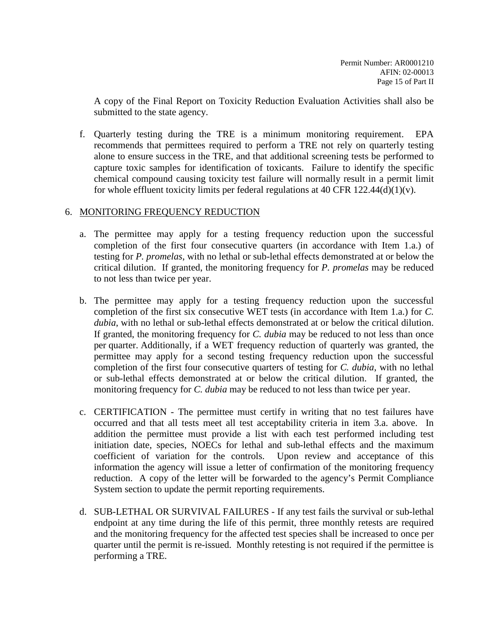A copy of the Final Report on Toxicity Reduction Evaluation Activities shall also be submitted to the state agency.

f. Quarterly testing during the TRE is a minimum monitoring requirement. EPA recommends that permittees required to perform a TRE not rely on quarterly testing alone to ensure success in the TRE, and that additional screening tests be performed to capture toxic samples for identification of toxicants. Failure to identify the specific chemical compound causing toxicity test failure will normally result in a permit limit for whole effluent toxicity limits per federal regulations at 40 CFR  $122.44(d)(1)(v)$ .

### 6. MONITORING FREQUENCY REDUCTION

- a. The permittee may apply for a testing frequency reduction upon the successful completion of the first four consecutive quarters (in accordance with Item 1.a.) of testing for *P. promelas*, with no lethal or sub-lethal effects demonstrated at or below the critical dilution. If granted, the monitoring frequency for *P. promelas* may be reduced to not less than twice per year.
- b. The permittee may apply for a testing frequency reduction upon the successful completion of the first six consecutive WET tests (in accordance with Item 1.a.) for *C. dubia*, with no lethal or sub-lethal effects demonstrated at or below the critical dilution. If granted, the monitoring frequency for *C. dubia* may be reduced to not less than once per quarter. Additionally, if a WET frequency reduction of quarterly was granted, the permittee may apply for a second testing frequency reduction upon the successful completion of the first four consecutive quarters of testing for *C. dubia*, with no lethal or sub-lethal effects demonstrated at or below the critical dilution. If granted, the monitoring frequency for *C. dubia* may be reduced to not less than twice per year.
- c. CERTIFICATION The permittee must certify in writing that no test failures have occurred and that all tests meet all test acceptability criteria in item 3.a. above. In addition the permittee must provide a list with each test performed including test initiation date, species, NOECs for lethal and sub-lethal effects and the maximum coefficient of variation for the controls. Upon review and acceptance of this information the agency will issue a letter of confirmation of the monitoring frequency reduction. A copy of the letter will be forwarded to the agency's Permit Compliance System section to update the permit reporting requirements.
- d. SUB-LETHAL OR SURVIVAL FAILURES If any test fails the survival or sub-lethal endpoint at any time during the life of this permit, three monthly retests are required and the monitoring frequency for the affected test species shall be increased to once per quarter until the permit is re-issued. Monthly retesting is not required if the permittee is performing a TRE.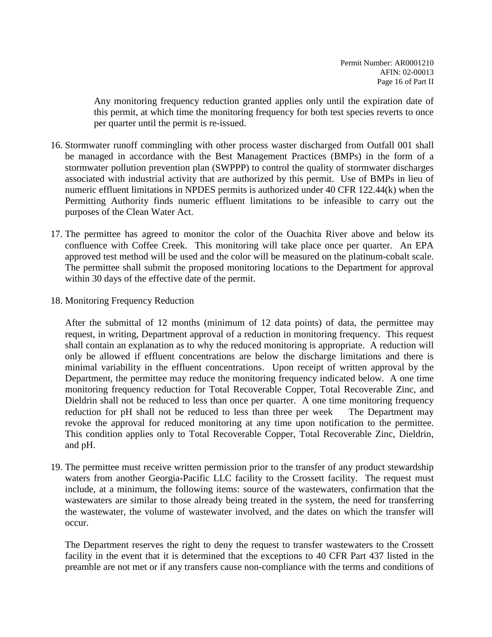Any monitoring frequency reduction granted applies only until the expiration date of this permit, at which time the monitoring frequency for both test species reverts to once per quarter until the permit is re-issued.

- 16. Stormwater runoff commingling with other process waster discharged from Outfall 001 shall be managed in accordance with the Best Management Practices (BMPs) in the form of a stormwater pollution prevention plan (SWPPP) to control the quality of stormwater discharges associated with industrial activity that are authorized by this permit. Use of BMPs in lieu of numeric effluent limitations in NPDES permits is authorized under 40 CFR 122.44(k) when the Permitting Authority finds numeric effluent limitations to be infeasible to carry out the purposes of the Clean Water Act.
- 17. The permittee has agreed to monitor the color of the Ouachita River above and below its confluence with Coffee Creek. This monitoring will take place once per quarter. An EPA approved test method will be used and the color will be measured on the platinum-cobalt scale. The permittee shall submit the proposed monitoring locations to the Department for approval within 30 days of the effective date of the permit.
- 18. Monitoring Frequency Reduction

After the submittal of 12 months (minimum of 12 data points) of data, the permittee may request, in writing, Department approval of a reduction in monitoring frequency. This request shall contain an explanation as to why the reduced monitoring is appropriate. A reduction will only be allowed if effluent concentrations are below the discharge limitations and there is minimal variability in the effluent concentrations. Upon receipt of written approval by the Department, the permittee may reduce the monitoring frequency indicated below. A one time monitoring frequency reduction for Total Recoverable Copper, Total Recoverable Zinc, and Dieldrin shall not be reduced to less than once per quarter. A one time monitoring frequency reduction for pH shall not be reduced to less than three per week The Department may revoke the approval for reduced monitoring at any time upon notification to the permittee. This condition applies only to Total Recoverable Copper, Total Recoverable Zinc, Dieldrin, and pH.

19. The permittee must receive written permission prior to the transfer of any product stewardship waters from another Georgia-Pacific LLC facility to the Crossett facility. The request must include, at a minimum, the following items: source of the wastewaters, confirmation that the wastewaters are similar to those already being treated in the system, the need for transferring the wastewater, the volume of wastewater involved, and the dates on which the transfer will occur.

The Department reserves the right to deny the request to transfer wastewaters to the Crossett facility in the event that it is determined that the exceptions to 40 CFR Part 437 listed in the preamble are not met or if any transfers cause non-compliance with the terms and conditions of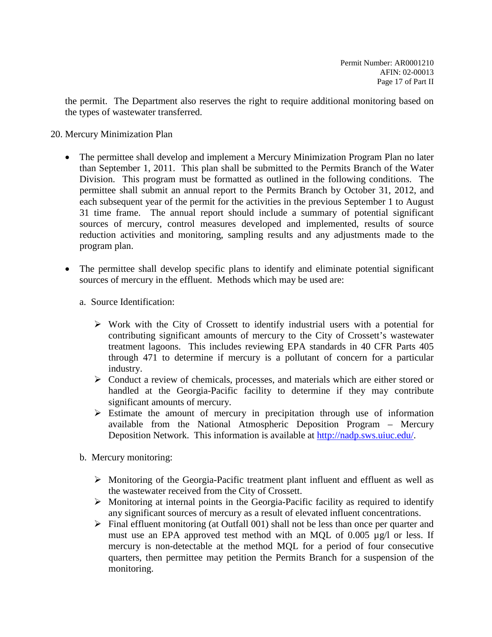the permit. The Department also reserves the right to require additional monitoring based on the types of wastewater transferred.

- 20. Mercury Minimization Plan
	- The permittee shall develop and implement a Mercury Minimization Program Plan no later than September 1, 2011. This plan shall be submitted to the Permits Branch of the Water Division. This program must be formatted as outlined in the following conditions. The permittee shall submit an annual report to the Permits Branch by October 31, 2012, and each subsequent year of the permit for the activities in the previous September 1 to August 31 time frame. The annual report should include a summary of potential significant sources of mercury, control measures developed and implemented, results of source reduction activities and monitoring, sampling results and any adjustments made to the program plan.
	- The permittee shall develop specific plans to identify and eliminate potential significant sources of mercury in the effluent. Methods which may be used are:
		- a. Source Identification:
			- $\triangleright$  Work with the City of Crossett to identify industrial users with a potential for contributing significant amounts of mercury to the City of Crossett's wastewater treatment lagoons. This includes reviewing EPA standards in 40 CFR Parts 405 through 471 to determine if mercury is a pollutant of concern for a particular industry.
			- $\triangleright$  Conduct a review of chemicals, processes, and materials which are either stored or handled at the Georgia-Pacific facility to determine if they may contribute significant amounts of mercury.
			- $\triangleright$  Estimate the amount of mercury in precipitation through use of information available from the National Atmospheric Deposition Program – Mercury Deposition Network. This information is available at [http://nadp.sws.uiuc.edu/.](http://nadp.sws.uiuc.edu/)
		- b. Mercury monitoring:
			- $\triangleright$  Monitoring of the Georgia-Pacific treatment plant influent and effluent as well as the wastewater received from the City of Crossett.
			- $\triangleright$  Monitoring at internal points in the Georgia-Pacific facility as required to identify any significant sources of mercury as a result of elevated influent concentrations.
			- $\triangleright$  Final effluent monitoring (at Outfall 001) shall not be less than once per quarter and must use an EPA approved test method with an MQL of 0.005 µg/l or less. If mercury is non-detectable at the method MQL for a period of four consecutive quarters, then permittee may petition the Permits Branch for a suspension of the monitoring.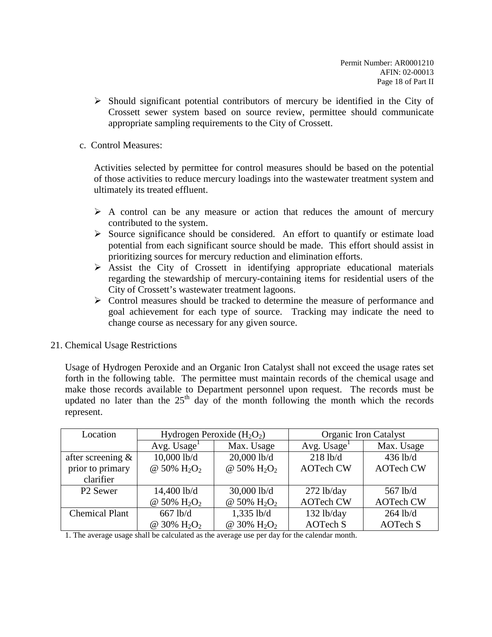$\triangleright$  Should significant potential contributors of mercury be identified in the City of Crossett sewer system based on source review, permittee should communicate appropriate sampling requirements to the City of Crossett.

### c. Control Measures:

Activities selected by permittee for control measures should be based on the potential of those activities to reduce mercury loadings into the wastewater treatment system and ultimately its treated effluent.

- $\triangleright$  A control can be any measure or action that reduces the amount of mercury contributed to the system.
- $\triangleright$  Source significance should be considered. An effort to quantify or estimate load potential from each significant source should be made. This effort should assist in prioritizing sources for mercury reduction and elimination efforts.
- $\triangleright$  Assist the City of Crossett in identifying appropriate educational materials regarding the stewardship of mercury-containing items for residential users of the City of Crossett's wastewater treatment lagoons.
- Control measures should be tracked to determine the measure of performance and goal achievement for each type of source. Tracking may indicate the need to change course as necessary for any given source.
- 21. Chemical Usage Restrictions

Usage of Hydrogen Peroxide and an Organic Iron Catalyst shall not exceed the usage rates set forth in the following table. The permittee must maintain records of the chemical usage and make those records available to Department personnel upon request. The records must be updated no later than the  $25<sup>th</sup>$  day of the month following the month which the records represent.

| Location              | Hydrogen Peroxide $(H_2O_2)$ |                                     | <b>Organic Iron Catalyst</b> |                  |  |
|-----------------------|------------------------------|-------------------------------------|------------------------------|------------------|--|
|                       | Avg. Usage <sup>1</sup>      | Max. Usage                          | Avg. $Usage1$                | Max. Usage       |  |
| after screening $\&$  | 10,000 lb/d                  | $20,000$ lb/d                       | $218$ lb/d                   | 436 lb/d         |  |
| prior to primary      | @ 50% $H_2O_2$               | @ 50% $H_2O_2$                      | <b>AOTech CW</b>             | <b>AOTech CW</b> |  |
| clarifier             |                              |                                     |                              |                  |  |
| P <sub>2</sub> Sewer  | 14,400 lb/d                  | $30,000$ lb/d                       | $272$ lb/day                 | 567 lb/d         |  |
|                       | @ 50% $H_2O_2$               | @ 50% H <sub>2</sub> O <sub>2</sub> | <b>AOTech CW</b>             | <b>AOTech CW</b> |  |
| <b>Chemical Plant</b> | $667$ lb/d                   | $1,335$ lb/d                        | $132$ lb/day                 | $264$ lb/d       |  |
|                       | @ 30% $H_2O_2$               | @ 30% H <sub>2</sub> O <sub>2</sub> | <b>AOTech S</b>              | <b>AOTech S</b>  |  |

1. The average usage shall be calculated as the average use per day for the calendar month.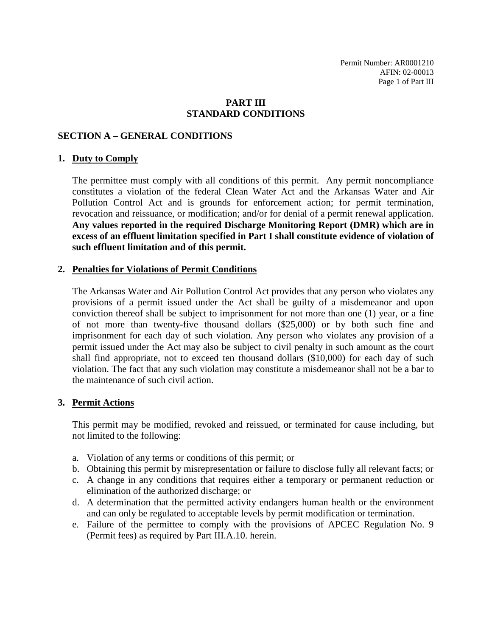Permit Number: AR0001210 AFIN: 02-00013 Page 1 of Part III

### **PART III STANDARD CONDITIONS**

#### **SECTION A – GENERAL CONDITIONS**

#### **1. Duty to Comply**

The permittee must comply with all conditions of this permit. Any permit noncompliance constitutes a violation of the federal Clean Water Act and the Arkansas Water and Air Pollution Control Act and is grounds for enforcement action; for permit termination, revocation and reissuance, or modification; and/or for denial of a permit renewal application. **Any values reported in the required Discharge Monitoring Report (DMR) which are in excess of an effluent limitation specified in Part I shall constitute evidence of violation of such effluent limitation and of this permit.**

#### **2. Penalties for Violations of Permit Conditions**

The Arkansas Water and Air Pollution Control Act provides that any person who violates any provisions of a permit issued under the Act shall be guilty of a misdemeanor and upon conviction thereof shall be subject to imprisonment for not more than one (1) year, or a fine of not more than twenty-five thousand dollars (\$25,000) or by both such fine and imprisonment for each day of such violation. Any person who violates any provision of a permit issued under the Act may also be subject to civil penalty in such amount as the court shall find appropriate, not to exceed ten thousand dollars (\$10,000) for each day of such violation. The fact that any such violation may constitute a misdemeanor shall not be a bar to the maintenance of such civil action.

#### **3. Permit Actions**

This permit may be modified, revoked and reissued, or terminated for cause including, but not limited to the following:

- a. Violation of any terms or conditions of this permit; or
- b. Obtaining this permit by misrepresentation or failure to disclose fully all relevant facts; or
- c. A change in any conditions that requires either a temporary or permanent reduction or elimination of the authorized discharge; or
- d. A determination that the permitted activity endangers human health or the environment and can only be regulated to acceptable levels by permit modification or termination.
- e. Failure of the permittee to comply with the provisions of APCEC Regulation No. 9 (Permit fees) as required by Part III.A.10. herein.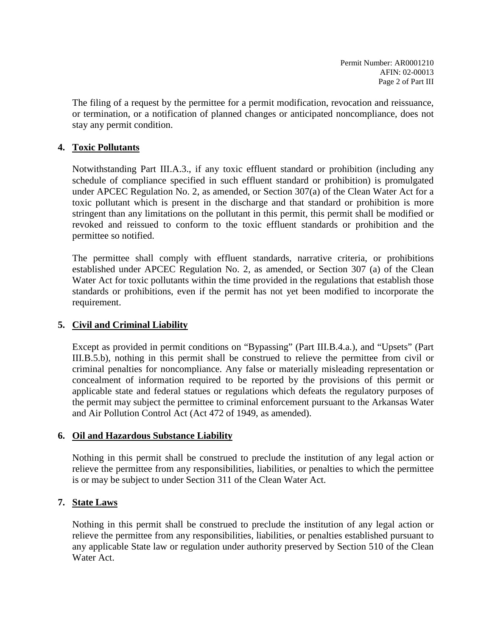The filing of a request by the permittee for a permit modification, revocation and reissuance, or termination, or a notification of planned changes or anticipated noncompliance, does not stay any permit condition.

### **4. Toxic Pollutants**

Notwithstanding Part III.A.3., if any toxic effluent standard or prohibition (including any schedule of compliance specified in such effluent standard or prohibition) is promulgated under APCEC Regulation No. 2, as amended, or Section 307(a) of the Clean Water Act for a toxic pollutant which is present in the discharge and that standard or prohibition is more stringent than any limitations on the pollutant in this permit, this permit shall be modified or revoked and reissued to conform to the toxic effluent standards or prohibition and the permittee so notified.

The permittee shall comply with effluent standards, narrative criteria, or prohibitions established under APCEC Regulation No. 2, as amended, or Section 307 (a) of the Clean Water Act for toxic pollutants within the time provided in the regulations that establish those standards or prohibitions, even if the permit has not yet been modified to incorporate the requirement.

## **5. Civil and Criminal Liability**

Except as provided in permit conditions on "Bypassing" (Part III.B.4.a.), and "Upsets" (Part III.B.5.b), nothing in this permit shall be construed to relieve the permittee from civil or criminal penalties for noncompliance. Any false or materially misleading representation or concealment of information required to be reported by the provisions of this permit or applicable state and federal statues or regulations which defeats the regulatory purposes of the permit may subject the permittee to criminal enforcement pursuant to the Arkansas Water and Air Pollution Control Act (Act 472 of 1949, as amended).

### **6. Oil and Hazardous Substance Liability**

Nothing in this permit shall be construed to preclude the institution of any legal action or relieve the permittee from any responsibilities, liabilities, or penalties to which the permittee is or may be subject to under Section 311 of the Clean Water Act.

## **7. State Laws**

Nothing in this permit shall be construed to preclude the institution of any legal action or relieve the permittee from any responsibilities, liabilities, or penalties established pursuant to any applicable State law or regulation under authority preserved by Section 510 of the Clean Water Act.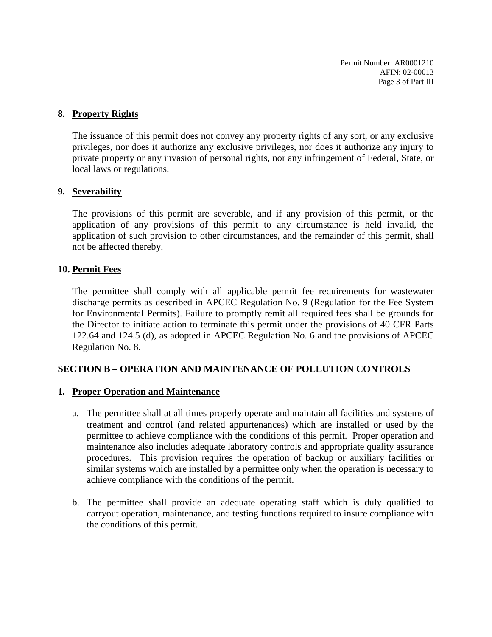Permit Number: AR0001210 AFIN: 02-00013 Page 3 of Part III

### **8. Property Rights**

The issuance of this permit does not convey any property rights of any sort, or any exclusive privileges, nor does it authorize any exclusive privileges, nor does it authorize any injury to private property or any invasion of personal rights, nor any infringement of Federal, State, or local laws or regulations.

#### **9. Severability**

The provisions of this permit are severable, and if any provision of this permit, or the application of any provisions of this permit to any circumstance is held invalid, the application of such provision to other circumstances, and the remainder of this permit, shall not be affected thereby.

### **10. Permit Fees**

The permittee shall comply with all applicable permit fee requirements for wastewater discharge permits as described in APCEC Regulation No. 9 (Regulation for the Fee System for Environmental Permits). Failure to promptly remit all required fees shall be grounds for the Director to initiate action to terminate this permit under the provisions of 40 CFR Parts 122.64 and 124.5 (d), as adopted in APCEC Regulation No. 6 and the provisions of APCEC Regulation No. 8.

### **SECTION B – OPERATION AND MAINTENANCE OF POLLUTION CONTROLS**

### **1. Proper Operation and Maintenance**

- a. The permittee shall at all times properly operate and maintain all facilities and systems of treatment and control (and related appurtenances) which are installed or used by the permittee to achieve compliance with the conditions of this permit. Proper operation and maintenance also includes adequate laboratory controls and appropriate quality assurance procedures. This provision requires the operation of backup or auxiliary facilities or similar systems which are installed by a permittee only when the operation is necessary to achieve compliance with the conditions of the permit.
- b. The permittee shall provide an adequate operating staff which is duly qualified to carryout operation, maintenance, and testing functions required to insure compliance with the conditions of this permit.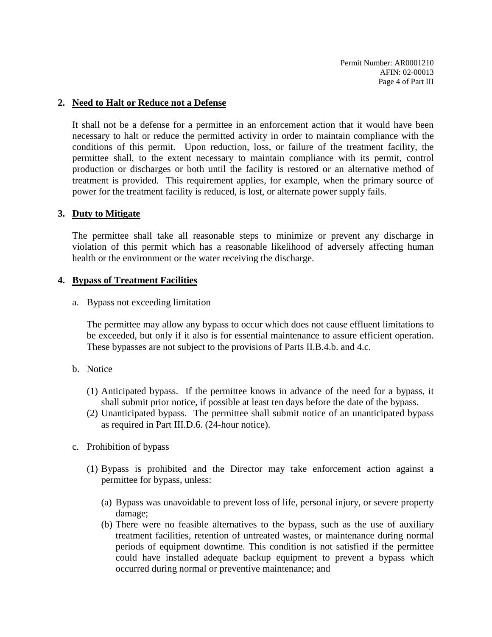### **2. Need to Halt or Reduce not a Defense**

It shall not be a defense for a permittee in an enforcement action that it would have been necessary to halt or reduce the permitted activity in order to maintain compliance with the conditions of this permit. Upon reduction, loss, or failure of the treatment facility, the permittee shall, to the extent necessary to maintain compliance with its permit, control production or discharges or both until the facility is restored or an alternative method of treatment is provided. This requirement applies, for example, when the primary source of power for the treatment facility is reduced, is lost, or alternate power supply fails.

### **3. Duty to Mitigate**

The permittee shall take all reasonable steps to minimize or prevent any discharge in violation of this permit which has a reasonable likelihood of adversely affecting human health or the environment or the water receiving the discharge.

### **4. Bypass of Treatment Facilities**

a. Bypass not exceeding limitation

The permittee may allow any bypass to occur which does not cause effluent limitations to be exceeded, but only if it also is for essential maintenance to assure efficient operation. These bypasses are not subject to the provisions of Parts II.B.4.b. and 4.c.

- b. Notice
	- (1) Anticipated bypass. If the permittee knows in advance of the need for a bypass, it shall submit prior notice, if possible at least ten days before the date of the bypass.
	- (2) Unanticipated bypass. The permittee shall submit notice of an unanticipated bypass as required in Part III.D.6. (24-hour notice).
- c. Prohibition of bypass
	- (1) Bypass is prohibited and the Director may take enforcement action against a permittee for bypass, unless:
		- (a) Bypass was unavoidable to prevent loss of life, personal injury, or severe property damage;
		- (b) There were no feasible alternatives to the bypass, such as the use of auxiliary treatment facilities, retention of untreated wastes, or maintenance during normal periods of equipment downtime. This condition is not satisfied if the permittee could have installed adequate backup equipment to prevent a bypass which occurred during normal or preventive maintenance; and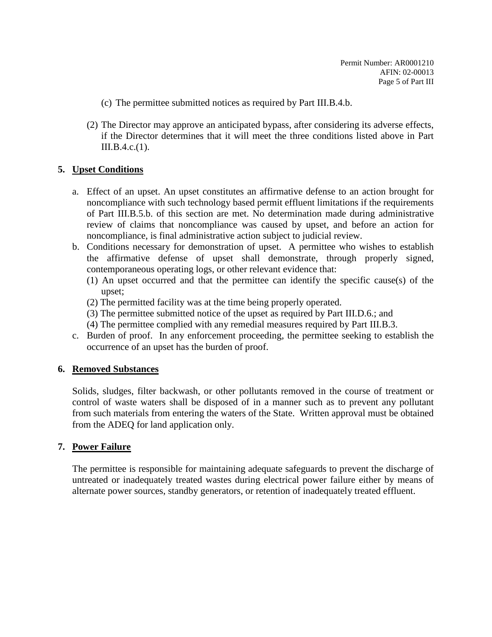- (c) The permittee submitted notices as required by Part III.B.4.b.
- (2) The Director may approve an anticipated bypass, after considering its adverse effects, if the Director determines that it will meet the three conditions listed above in Part III.B.4.c.(1).

### **5. Upset Conditions**

- a. Effect of an upset. An upset constitutes an affirmative defense to an action brought for noncompliance with such technology based permit effluent limitations if the requirements of Part III.B.5.b. of this section are met. No determination made during administrative review of claims that noncompliance was caused by upset, and before an action for noncompliance, is final administrative action subject to judicial review.
- b. Conditions necessary for demonstration of upset. A permittee who wishes to establish the affirmative defense of upset shall demonstrate, through properly signed, contemporaneous operating logs, or other relevant evidence that:
	- (1) An upset occurred and that the permittee can identify the specific cause(s) of the upset;
	- (2) The permitted facility was at the time being properly operated.
	- (3) The permittee submitted notice of the upset as required by Part III.D.6.; and
	- (4) The permittee complied with any remedial measures required by Part III.B.3.
- c. Burden of proof. In any enforcement proceeding, the permittee seeking to establish the occurrence of an upset has the burden of proof.

### **6. Removed Substances**

Solids, sludges, filter backwash, or other pollutants removed in the course of treatment or control of waste waters shall be disposed of in a manner such as to prevent any pollutant from such materials from entering the waters of the State. Written approval must be obtained from the ADEQ for land application only.

### **7. Power Failure**

The permittee is responsible for maintaining adequate safeguards to prevent the discharge of untreated or inadequately treated wastes during electrical power failure either by means of alternate power sources, standby generators, or retention of inadequately treated effluent.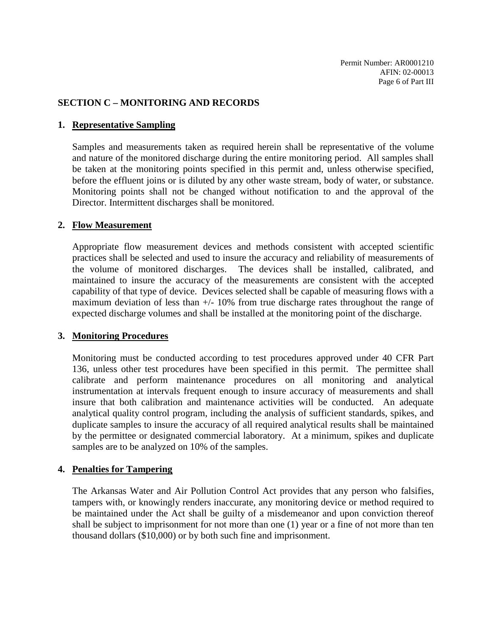#### **SECTION C – MONITORING AND RECORDS**

#### **1. Representative Sampling**

Samples and measurements taken as required herein shall be representative of the volume and nature of the monitored discharge during the entire monitoring period. All samples shall be taken at the monitoring points specified in this permit and, unless otherwise specified, before the effluent joins or is diluted by any other waste stream, body of water, or substance. Monitoring points shall not be changed without notification to and the approval of the Director. Intermittent discharges shall be monitored.

#### **2. Flow Measurement**

Appropriate flow measurement devices and methods consistent with accepted scientific practices shall be selected and used to insure the accuracy and reliability of measurements of the volume of monitored discharges. The devices shall be installed, calibrated, and maintained to insure the accuracy of the measurements are consistent with the accepted capability of that type of device. Devices selected shall be capable of measuring flows with a maximum deviation of less than  $+/- 10\%$  from true discharge rates throughout the range of expected discharge volumes and shall be installed at the monitoring point of the discharge.

### **3. Monitoring Procedures**

Monitoring must be conducted according to test procedures approved under 40 CFR Part 136, unless other test procedures have been specified in this permit. The permittee shall calibrate and perform maintenance procedures on all monitoring and analytical instrumentation at intervals frequent enough to insure accuracy of measurements and shall insure that both calibration and maintenance activities will be conducted. An adequate analytical quality control program, including the analysis of sufficient standards, spikes, and duplicate samples to insure the accuracy of all required analytical results shall be maintained by the permittee or designated commercial laboratory. At a minimum, spikes and duplicate samples are to be analyzed on 10% of the samples.

#### **4. Penalties for Tampering**

The Arkansas Water and Air Pollution Control Act provides that any person who falsifies, tampers with, or knowingly renders inaccurate, any monitoring device or method required to be maintained under the Act shall be guilty of a misdemeanor and upon conviction thereof shall be subject to imprisonment for not more than one (1) year or a fine of not more than ten thousand dollars (\$10,000) or by both such fine and imprisonment.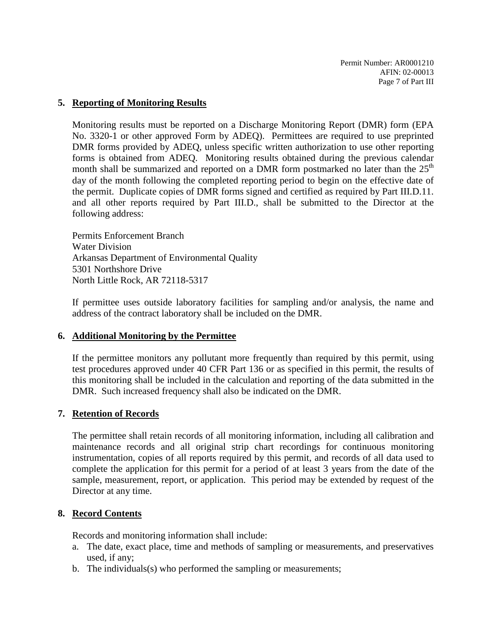### **5. Reporting of Monitoring Results**

Monitoring results must be reported on a Discharge Monitoring Report (DMR) form (EPA No. 3320-1 or other approved Form by ADEQ). Permittees are required to use preprinted DMR forms provided by ADEQ, unless specific written authorization to use other reporting forms is obtained from ADEQ. Monitoring results obtained during the previous calendar month shall be summarized and reported on a DMR form postmarked no later than the  $25<sup>th</sup>$ day of the month following the completed reporting period to begin on the effective date of the permit. Duplicate copies of DMR forms signed and certified as required by Part III.D.11. and all other reports required by Part III.D., shall be submitted to the Director at the following address:

Permits Enforcement Branch Water Division Arkansas Department of Environmental Quality 5301 Northshore Drive North Little Rock, AR 72118-5317

If permittee uses outside laboratory facilities for sampling and/or analysis, the name and address of the contract laboratory shall be included on the DMR.

### **6. Additional Monitoring by the Permittee**

If the permittee monitors any pollutant more frequently than required by this permit, using test procedures approved under 40 CFR Part 136 or as specified in this permit, the results of this monitoring shall be included in the calculation and reporting of the data submitted in the DMR. Such increased frequency shall also be indicated on the DMR.

### **7. Retention of Records**

The permittee shall retain records of all monitoring information, including all calibration and maintenance records and all original strip chart recordings for continuous monitoring instrumentation, copies of all reports required by this permit, and records of all data used to complete the application for this permit for a period of at least 3 years from the date of the sample, measurement, report, or application. This period may be extended by request of the Director at any time.

### **8. Record Contents**

Records and monitoring information shall include:

- a. The date, exact place, time and methods of sampling or measurements, and preservatives used, if any;
- b. The individuals(s) who performed the sampling or measurements;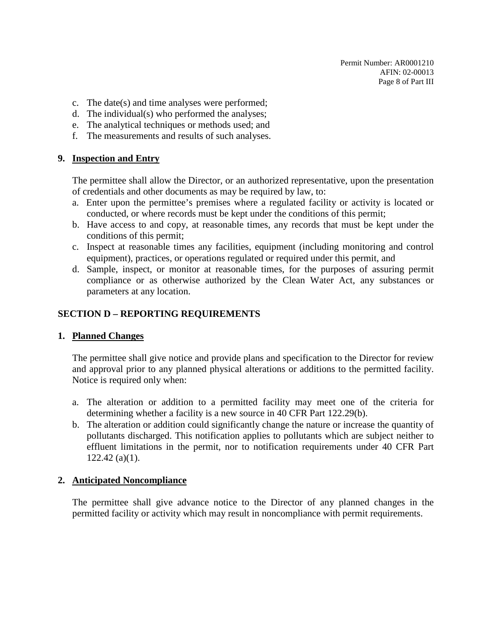- c. The date(s) and time analyses were performed;
- d. The individual(s) who performed the analyses;
- e. The analytical techniques or methods used; and
- f. The measurements and results of such analyses.

### **9. Inspection and Entry**

The permittee shall allow the Director, or an authorized representative, upon the presentation of credentials and other documents as may be required by law, to:

- a. Enter upon the permittee's premises where a regulated facility or activity is located or conducted, or where records must be kept under the conditions of this permit;
- b. Have access to and copy, at reasonable times, any records that must be kept under the conditions of this permit;
- c. Inspect at reasonable times any facilities, equipment (including monitoring and control equipment), practices, or operations regulated or required under this permit, and
- d. Sample, inspect, or monitor at reasonable times, for the purposes of assuring permit compliance or as otherwise authorized by the Clean Water Act, any substances or parameters at any location.

### **SECTION D – REPORTING REQUIREMENTS**

### **1. Planned Changes**

The permittee shall give notice and provide plans and specification to the Director for review and approval prior to any planned physical alterations or additions to the permitted facility. Notice is required only when:

- a. The alteration or addition to a permitted facility may meet one of the criteria for determining whether a facility is a new source in 40 CFR Part 122.29(b).
- b. The alteration or addition could significantly change the nature or increase the quantity of pollutants discharged. This notification applies to pollutants which are subject neither to effluent limitations in the permit, nor to notification requirements under 40 CFR Part 122.42 (a)(1).

## **2. Anticipated Noncompliance**

The permittee shall give advance notice to the Director of any planned changes in the permitted facility or activity which may result in noncompliance with permit requirements.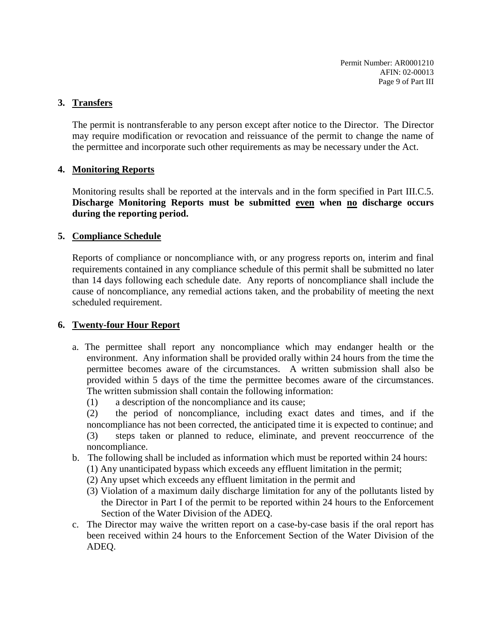Permit Number: AR0001210 AFIN: 02-00013 Page 9 of Part III

#### **3. Transfers**

The permit is nontransferable to any person except after notice to the Director. The Director may require modification or revocation and reissuance of the permit to change the name of the permittee and incorporate such other requirements as may be necessary under the Act.

### **4. Monitoring Reports**

Monitoring results shall be reported at the intervals and in the form specified in Part III.C.5. **Discharge Monitoring Reports must be submitted even when no discharge occurs during the reporting period.**

#### **5. Compliance Schedule**

Reports of compliance or noncompliance with, or any progress reports on, interim and final requirements contained in any compliance schedule of this permit shall be submitted no later than 14 days following each schedule date. Any reports of noncompliance shall include the cause of noncompliance, any remedial actions taken, and the probability of meeting the next scheduled requirement.

### **6. Twenty-four Hour Report**

- a. The permittee shall report any noncompliance which may endanger health or the environment. Any information shall be provided orally within 24 hours from the time the permittee becomes aware of the circumstances. A written submission shall also be provided within 5 days of the time the permittee becomes aware of the circumstances. The written submission shall contain the following information:
	- (1) a description of the noncompliance and its cause;

(2) the period of noncompliance, including exact dates and times, and if the noncompliance has not been corrected, the anticipated time it is expected to continue; and (3) steps taken or planned to reduce, eliminate, and prevent reoccurrence of the noncompliance.

- b. The following shall be included as information which must be reported within 24 hours:
	- (1) Any unanticipated bypass which exceeds any effluent limitation in the permit;
	- (2) Any upset which exceeds any effluent limitation in the permit and
	- (3) Violation of a maximum daily discharge limitation for any of the pollutants listed by the Director in Part I of the permit to be reported within 24 hours to the Enforcement Section of the Water Division of the ADEQ.
- c. The Director may waive the written report on a case-by-case basis if the oral report has been received within 24 hours to the Enforcement Section of the Water Division of the ADEQ.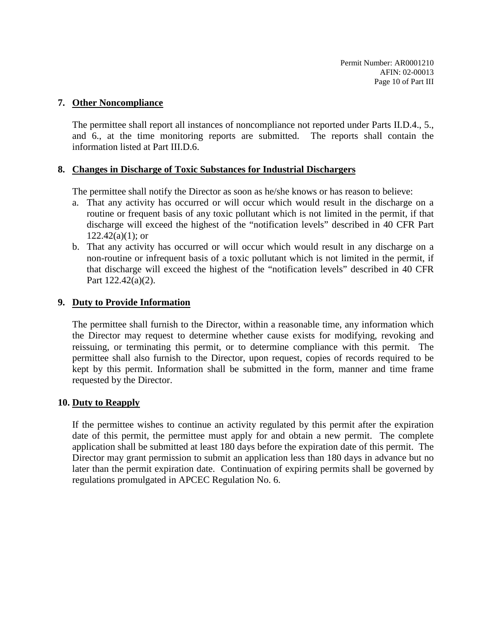### **7. Other Noncompliance**

The permittee shall report all instances of noncompliance not reported under Parts II.D.4., 5., and 6., at the time monitoring reports are submitted. The reports shall contain the information listed at Part III.D.6.

### **8. Changes in Discharge of Toxic Substances for Industrial Dischargers**

The permittee shall notify the Director as soon as he/she knows or has reason to believe:

- a. That any activity has occurred or will occur which would result in the discharge on a routine or frequent basis of any toxic pollutant which is not limited in the permit, if that discharge will exceed the highest of the "notification levels" described in 40 CFR Part  $122.42(a)(1)$ ; or
- b. That any activity has occurred or will occur which would result in any discharge on a non-routine or infrequent basis of a toxic pollutant which is not limited in the permit, if that discharge will exceed the highest of the "notification levels" described in 40 CFR Part 122.42(a)(2).

### **9. Duty to Provide Information**

The permittee shall furnish to the Director, within a reasonable time, any information which the Director may request to determine whether cause exists for modifying, revoking and reissuing, or terminating this permit, or to determine compliance with this permit. The permittee shall also furnish to the Director, upon request, copies of records required to be kept by this permit. Information shall be submitted in the form, manner and time frame requested by the Director.

### **10. Duty to Reapply**

If the permittee wishes to continue an activity regulated by this permit after the expiration date of this permit, the permittee must apply for and obtain a new permit. The complete application shall be submitted at least 180 days before the expiration date of this permit. The Director may grant permission to submit an application less than 180 days in advance but no later than the permit expiration date. Continuation of expiring permits shall be governed by regulations promulgated in APCEC Regulation No. 6.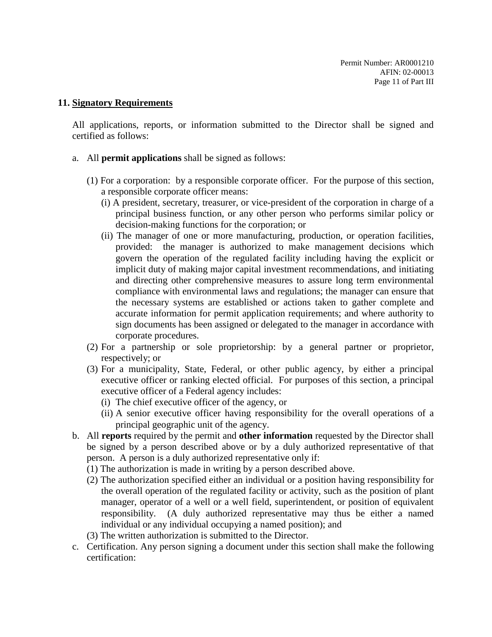#### **11. Signatory Requirements**

All applications, reports, or information submitted to the Director shall be signed and certified as follows:

- a. All **permit applications** shall be signed as follows:
	- (1) For a corporation: by a responsible corporate officer. For the purpose of this section, a responsible corporate officer means:
		- (i) A president, secretary, treasurer, or vice-president of the corporation in charge of a principal business function, or any other person who performs similar policy or decision-making functions for the corporation; or
		- (ii) The manager of one or more manufacturing, production, or operation facilities, provided: the manager is authorized to make management decisions which govern the operation of the regulated facility including having the explicit or implicit duty of making major capital investment recommendations, and initiating and directing other comprehensive measures to assure long term environmental compliance with environmental laws and regulations; the manager can ensure that the necessary systems are established or actions taken to gather complete and accurate information for permit application requirements; and where authority to sign documents has been assigned or delegated to the manager in accordance with corporate procedures.
	- (2) For a partnership or sole proprietorship: by a general partner or proprietor, respectively; or
	- (3) For a municipality, State, Federal, or other public agency, by either a principal executive officer or ranking elected official. For purposes of this section, a principal executive officer of a Federal agency includes:
		- (i) The chief executive officer of the agency, or
		- (ii) A senior executive officer having responsibility for the overall operations of a principal geographic unit of the agency.
- b. All **reports** required by the permit and **other information** requested by the Director shall be signed by a person described above or by a duly authorized representative of that person. A person is a duly authorized representative only if:
	- (1) The authorization is made in writing by a person described above.
	- (2) The authorization specified either an individual or a position having responsibility for the overall operation of the regulated facility or activity, such as the position of plant manager, operator of a well or a well field, superintendent, or position of equivalent responsibility. (A duly authorized representative may thus be either a named individual or any individual occupying a named position); and
	- (3) The written authorization is submitted to the Director.
- c. Certification. Any person signing a document under this section shall make the following certification: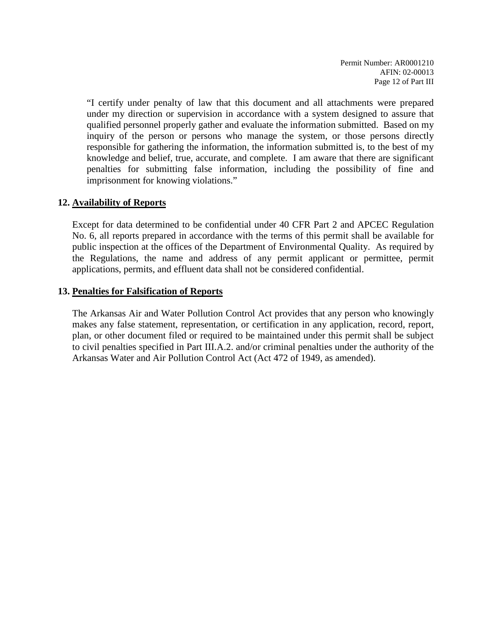"I certify under penalty of law that this document and all attachments were prepared under my direction or supervision in accordance with a system designed to assure that qualified personnel properly gather and evaluate the information submitted. Based on my inquiry of the person or persons who manage the system, or those persons directly responsible for gathering the information, the information submitted is, to the best of my knowledge and belief, true, accurate, and complete. I am aware that there are significant penalties for submitting false information, including the possibility of fine and imprisonment for knowing violations."

### **12. Availability of Reports**

Except for data determined to be confidential under 40 CFR Part 2 and APCEC Regulation No. 6, all reports prepared in accordance with the terms of this permit shall be available for public inspection at the offices of the Department of Environmental Quality. As required by the Regulations, the name and address of any permit applicant or permittee, permit applications, permits, and effluent data shall not be considered confidential.

### **13. Penalties for Falsification of Reports**

The Arkansas Air and Water Pollution Control Act provides that any person who knowingly makes any false statement, representation, or certification in any application, record, report, plan, or other document filed or required to be maintained under this permit shall be subject to civil penalties specified in Part III.A.2. and/or criminal penalties under the authority of the Arkansas Water and Air Pollution Control Act (Act 472 of 1949, as amended).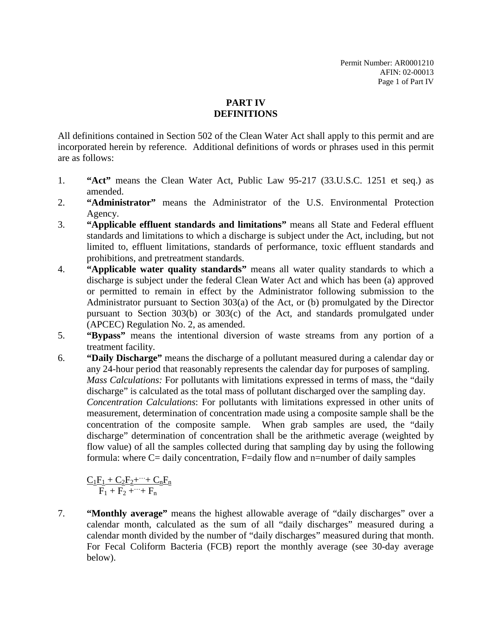## **PART IV DEFINITIONS**

All definitions contained in Section 502 of the Clean Water Act shall apply to this permit and are incorporated herein by reference. Additional definitions of words or phrases used in this permit are as follows:

- 1. **"Act"** means the Clean Water Act, Public Law 95-217 (33.U.S.C. 1251 et seq.) as amended.
- 2. **"Administrator"** means the Administrator of the U.S. Environmental Protection Agency.
- 3. **"Applicable effluent standards and limitations"** means all State and Federal effluent standards and limitations to which a discharge is subject under the Act, including, but not limited to, effluent limitations, standards of performance, toxic effluent standards and prohibitions, and pretreatment standards.
- 4. **"Applicable water quality standards"** means all water quality standards to which a discharge is subject under the federal Clean Water Act and which has been (a) approved or permitted to remain in effect by the Administrator following submission to the Administrator pursuant to Section 303(a) of the Act, or (b) promulgated by the Director pursuant to Section 303(b) or 303(c) of the Act, and standards promulgated under (APCEC) Regulation No. 2, as amended.
- 5. **"Bypass"** means the intentional diversion of waste streams from any portion of a treatment facility.
- 6. **"Daily Discharge"** means the discharge of a pollutant measured during a calendar day or any 24-hour period that reasonably represents the calendar day for purposes of sampling. *Mass Calculations:* For pollutants with limitations expressed in terms of mass, the "daily discharge" is calculated as the total mass of pollutant discharged over the sampling day. *Concentration Calculations*: For pollutants with limitations expressed in other units of measurement, determination of concentration made using a composite sample shall be the concentration of the composite sample. When grab samples are used, the "daily discharge" determination of concentration shall be the arithmetic average (weighted by flow value) of all the samples collected during that sampling day by using the following formula: where C= daily concentration, F=daily flow and n=number of daily samples

 $C_1F_1 + C_2F_2 + \cdots + C_nF_n$  $F_1 + F_2 + \cdots + F_n$ 

7. **"Monthly average"** means the highest allowable average of "daily discharges" over a calendar month, calculated as the sum of all "daily discharges" measured during a calendar month divided by the number of "daily discharges" measured during that month. For Fecal Coliform Bacteria (FCB) report the monthly average (see 30-day average below).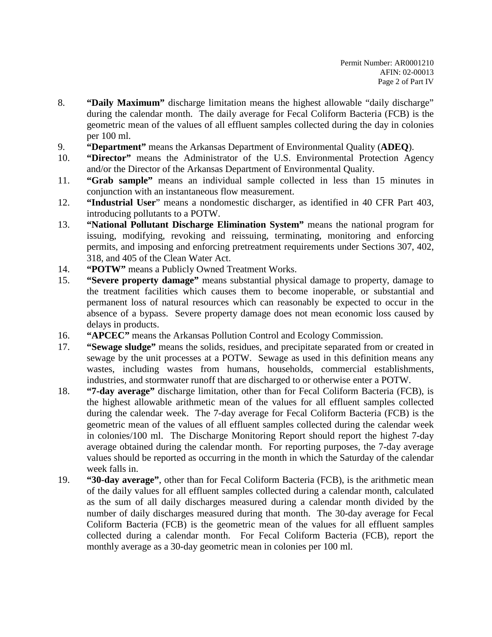- 8. **"Daily Maximum"** discharge limitation means the highest allowable "daily discharge" during the calendar month. The daily average for Fecal Coliform Bacteria (FCB) is the geometric mean of the values of all effluent samples collected during the day in colonies per 100 ml.
- 9. **"Department"** means the Arkansas Department of Environmental Quality (**ADEQ**).
- 10. **"Director"** means the Administrator of the U.S. Environmental Protection Agency and/or the Director of the Arkansas Department of Environmental Quality.
- 11. **"Grab sample"** means an individual sample collected in less than 15 minutes in conjunction with an instantaneous flow measurement.
- 12. **"Industrial User**" means a nondomestic discharger, as identified in 40 CFR Part 403, introducing pollutants to a POTW.
- 13. **"National Pollutant Discharge Elimination System"** means the national program for issuing, modifying, revoking and reissuing, terminating, monitoring and enforcing permits, and imposing and enforcing pretreatment requirements under Sections 307, 402, 318, and 405 of the Clean Water Act.
- 14. **"POTW"** means a Publicly Owned Treatment Works.
- 15. **"Severe property damage"** means substantial physical damage to property, damage to the treatment facilities which causes them to become inoperable, or substantial and permanent loss of natural resources which can reasonably be expected to occur in the absence of a bypass. Severe property damage does not mean economic loss caused by delays in products.
- 16. **"APCEC"** means the Arkansas Pollution Control and Ecology Commission.
- 17. **"Sewage sludge"** means the solids, residues, and precipitate separated from or created in sewage by the unit processes at a POTW. Sewage as used in this definition means any wastes, including wastes from humans, households, commercial establishments, industries, and stormwater runoff that are discharged to or otherwise enter a POTW.
- 18. **"7-day average"** discharge limitation, other than for Fecal Coliform Bacteria (FCB), is the highest allowable arithmetic mean of the values for all effluent samples collected during the calendar week. The 7-day average for Fecal Coliform Bacteria (FCB) is the geometric mean of the values of all effluent samples collected during the calendar week in colonies/100 ml. The Discharge Monitoring Report should report the highest 7-day average obtained during the calendar month. For reporting purposes, the 7-day average values should be reported as occurring in the month in which the Saturday of the calendar week falls in.
- 19. **"30-day average"**, other than for Fecal Coliform Bacteria (FCB), is the arithmetic mean of the daily values for all effluent samples collected during a calendar month, calculated as the sum of all daily discharges measured during a calendar month divided by the number of daily discharges measured during that month. The 30-day average for Fecal Coliform Bacteria (FCB) is the geometric mean of the values for all effluent samples collected during a calendar month. For Fecal Coliform Bacteria (FCB), report the monthly average as a 30-day geometric mean in colonies per 100 ml.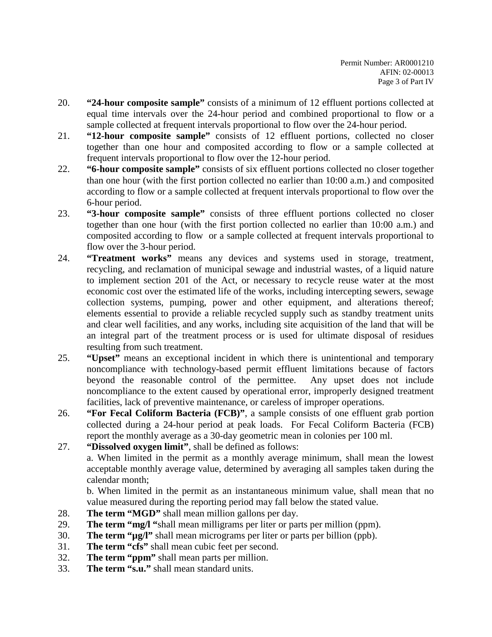- 20. **"24-hour composite sample"** consists of a minimum of 12 effluent portions collected at equal time intervals over the 24-hour period and combined proportional to flow or a sample collected at frequent intervals proportional to flow over the 24-hour period.
- 21. **"12-hour composite sample"** consists of 12 effluent portions, collected no closer together than one hour and composited according to flow or a sample collected at frequent intervals proportional to flow over the 12-hour period.
- 22. **"6-hour composite sample"** consists of six effluent portions collected no closer together than one hour (with the first portion collected no earlier than 10:00 a.m.) and composited according to flow or a sample collected at frequent intervals proportional to flow over the 6-hour period.
- 23. **"3-hour composite sample"** consists of three effluent portions collected no closer together than one hour (with the first portion collected no earlier than 10:00 a.m.) and composited according to flow or a sample collected at frequent intervals proportional to flow over the 3-hour period.
- 24. **"Treatment works"** means any devices and systems used in storage, treatment, recycling, and reclamation of municipal sewage and industrial wastes, of a liquid nature to implement section 201 of the Act, or necessary to recycle reuse water at the most economic cost over the estimated life of the works, including intercepting sewers, sewage collection systems, pumping, power and other equipment, and alterations thereof; elements essential to provide a reliable recycled supply such as standby treatment units and clear well facilities, and any works, including site acquisition of the land that will be an integral part of the treatment process or is used for ultimate disposal of residues resulting from such treatment.
- 25. **"Upset"** means an exceptional incident in which there is unintentional and temporary noncompliance with technology-based permit effluent limitations because of factors beyond the reasonable control of the permittee. Any upset does not include noncompliance to the extent caused by operational error, improperly designed treatment facilities, lack of preventive maintenance, or careless of improper operations.
- 26. **"For Fecal Coliform Bacteria (FCB)"**, a sample consists of one effluent grab portion collected during a 24-hour period at peak loads. For Fecal Coliform Bacteria (FCB) report the monthly average as a 30-day geometric mean in colonies per 100 ml.
- 27. **"Dissolved oxygen limit"**, shall be defined as follows: a. When limited in the permit as a monthly average minimum, shall mean the lowest acceptable monthly average value, determined by averaging all samples taken during the calendar month;

b. When limited in the permit as an instantaneous minimum value, shall mean that no value measured during the reporting period may fall below the stated value.

- 28. **The term "MGD"** shall mean million gallons per day.
- 29. **The term "mg/l "**shall mean milligrams per liter or parts per million (ppm).
- 30. **The term "µg/l"** shall mean micrograms per liter or parts per billion (ppb).
- 31. **The term "cfs"** shall mean cubic feet per second.
- 32. **The term "ppm"** shall mean parts per million.
- 33. **The term "s.u."** shall mean standard units.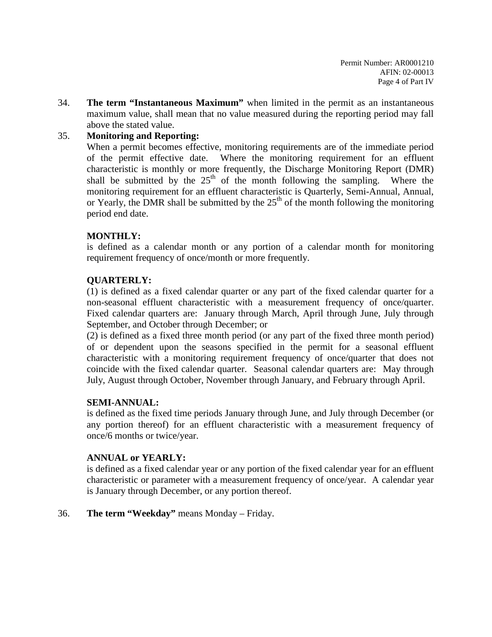34. **The term "Instantaneous Maximum"** when limited in the permit as an instantaneous maximum value, shall mean that no value measured during the reporting period may fall above the stated value.

# 35. **Monitoring and Reporting:**

When a permit becomes effective, monitoring requirements are of the immediate period of the permit effective date. Where the monitoring requirement for an effluent characteristic is monthly or more frequently, the Discharge Monitoring Report (DMR) shall be submitted by the  $25<sup>th</sup>$  of the month following the sampling. Where the monitoring requirement for an effluent characteristic is Quarterly, Semi-Annual, Annual, or Yearly, the DMR shall be submitted by the  $25<sup>th</sup>$  of the month following the monitoring period end date.

## **MONTHLY:**

is defined as a calendar month or any portion of a calendar month for monitoring requirement frequency of once/month or more frequently.

## **QUARTERLY:**

(1) is defined as a fixed calendar quarter or any part of the fixed calendar quarter for a non-seasonal effluent characteristic with a measurement frequency of once/quarter. Fixed calendar quarters are: January through March, April through June, July through September, and October through December; or

(2) is defined as a fixed three month period (or any part of the fixed three month period) of or dependent upon the seasons specified in the permit for a seasonal effluent characteristic with a monitoring requirement frequency of once/quarter that does not coincide with the fixed calendar quarter. Seasonal calendar quarters are: May through July, August through October, November through January, and February through April.

## **SEMI-ANNUAL:**

is defined as the fixed time periods January through June, and July through December (or any portion thereof) for an effluent characteristic with a measurement frequency of once/6 months or twice/year.

## **ANNUAL or YEARLY:**

is defined as a fixed calendar year or any portion of the fixed calendar year for an effluent characteristic or parameter with a measurement frequency of once/year. A calendar year is January through December, or any portion thereof.

## 36. **The term "Weekday"** means Monday – Friday.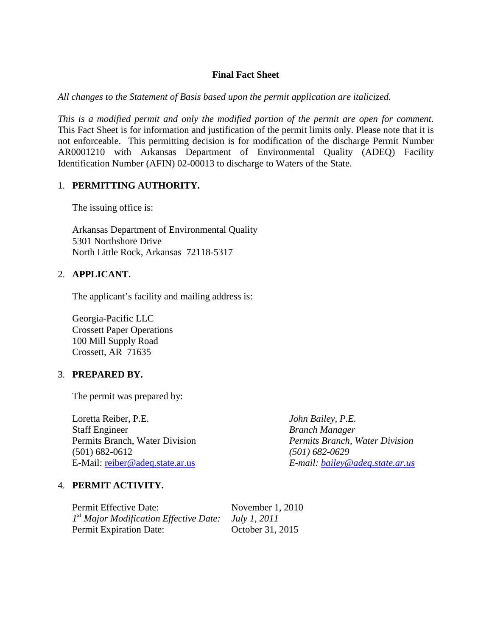## **Final Fact Sheet**

*All changes to the Statement of Basis based upon the permit application are italicized.*

*This is a modified permit and only the modified portion of the permit are open for comment.* This Fact Sheet is for information and justification of the permit limits only. Please note that it is not enforceable. This permitting decision is for modification of the discharge Permit Number AR0001210 with Arkansas Department of Environmental Quality (ADEQ) Facility Identification Number (AFIN) 02-00013 to discharge to Waters of the State.

### 1. **PERMITTING AUTHORITY.**

The issuing office is:

Arkansas Department of Environmental Quality 5301 Northshore Drive North Little Rock, Arkansas 72118-5317

### 2. **APPLICANT.**

The applicant's facility and mailing address is:

Georgia-Pacific LLC Crossett Paper Operations 100 Mill Supply Road Crossett, AR 71635

### 3. **PREPARED BY.**

The permit was prepared by:

Loretta Reiber, P.E. *John Bailey, P.E.* Staff Engineer *Branch Manager* Permits Branch, Water Division *Permits Branch, Water Division* (501) 682-0612 *(501) 682-0629* E-Mail: [reiber@adeq.state.ar.us](mailto:reiber@adeq.state.ar.us) *E-mail: [bailey@adeq.state.ar.us](mailto:bailey@adeq.state.ar.us)*

4. **PERMIT ACTIVITY.**

Permit Effective Date: November 1, 2010 *1st Major Modification Effective Date: July 1, 2011* Permit Expiration Date: October 31, 2015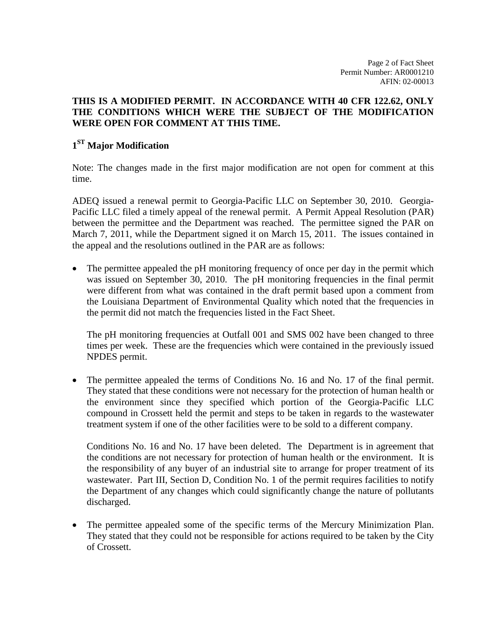Page 2 of Fact Sheet Permit Number: AR0001210 AFIN: 02-00013

## **THIS IS A MODIFIED PERMIT. IN ACCORDANCE WITH 40 CFR 122.62, ONLY THE CONDITIONS WHICH WERE THE SUBJECT OF THE MODIFICATION WERE OPEN FOR COMMENT AT THIS TIME.**

# **1ST Major Modification**

Note: The changes made in the first major modification are not open for comment at this time.

ADEQ issued a renewal permit to Georgia-Pacific LLC on September 30, 2010. Georgia-Pacific LLC filed a timely appeal of the renewal permit. A Permit Appeal Resolution (PAR) between the permittee and the Department was reached. The permittee signed the PAR on March 7, 2011, while the Department signed it on March 15, 2011. The issues contained in the appeal and the resolutions outlined in the PAR are as follows:

• The permittee appealed the pH monitoring frequency of once per day in the permit which was issued on September 30, 2010. The pH monitoring frequencies in the final permit were different from what was contained in the draft permit based upon a comment from the Louisiana Department of Environmental Quality which noted that the frequencies in the permit did not match the frequencies listed in the Fact Sheet.

The pH monitoring frequencies at Outfall 001 and SMS 002 have been changed to three times per week. These are the frequencies which were contained in the previously issued NPDES permit.

The permittee appealed the terms of Conditions No. 16 and No. 17 of the final permit. They stated that these conditions were not necessary for the protection of human health or the environment since they specified which portion of the Georgia-Pacific LLC compound in Crossett held the permit and steps to be taken in regards to the wastewater treatment system if one of the other facilities were to be sold to a different company.

Conditions No. 16 and No. 17 have been deleted. The Department is in agreement that the conditions are not necessary for protection of human health or the environment. It is the responsibility of any buyer of an industrial site to arrange for proper treatment of its wastewater. Part III, Section D, Condition No. 1 of the permit requires facilities to notify the Department of any changes which could significantly change the nature of pollutants discharged.

• The permittee appealed some of the specific terms of the Mercury Minimization Plan. They stated that they could not be responsible for actions required to be taken by the City of Crossett.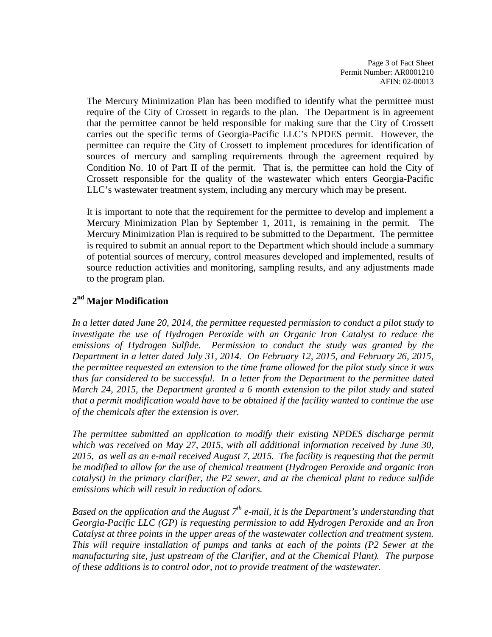Page 3 of Fact Sheet Permit Number: AR0001210 AFIN: 02-00013

The Mercury Minimization Plan has been modified to identify what the permittee must require of the City of Crossett in regards to the plan. The Department is in agreement that the permittee cannot be held responsible for making sure that the City of Crossett carries out the specific terms of Georgia-Pacific LLC's NPDES permit. However, the permittee can require the City of Crossett to implement procedures for identification of sources of mercury and sampling requirements through the agreement required by Condition No. 10 of Part II of the permit. That is, the permittee can hold the City of Crossett responsible for the quality of the wastewater which enters Georgia-Pacific LLC's wastewater treatment system, including any mercury which may be present.

It is important to note that the requirement for the permittee to develop and implement a Mercury Minimization Plan by September 1, 2011, is remaining in the permit. The Mercury Minimization Plan is required to be submitted to the Department. The permittee is required to submit an annual report to the Department which should include a summary of potential sources of mercury, control measures developed and implemented, results of source reduction activities and monitoring, sampling results, and any adjustments made to the program plan.

## **2nd Major Modification**

*In a letter dated June 20, 2014, the permittee requested permission to conduct a pilot study to investigate the use of Hydrogen Peroxide with an Organic Iron Catalyst to reduce the emissions of Hydrogen Sulfide. Permission to conduct the study was granted by the Department in a letter dated July 31, 2014. On February 12, 2015, and February 26, 2015, the permittee requested an extension to the time frame allowed for the pilot study since it was thus far considered to be successful. In a letter from the Department to the permittee dated March 24, 2015, the Department granted a 6 month extension to the pilot study and stated that a permit modification would have to be obtained if the facility wanted to continue the use of the chemicals after the extension is over.*

*The permittee submitted an application to modify their existing NPDES discharge permit which was received on May 27, 2015, with all additional information received by June 30, 2015, as well as an e-mail received August 7, 2015. The facility is requesting that the permit be modified to allow for the use of chemical treatment (Hydrogen Peroxide and organic Iron catalyst) in the primary clarifier, the P2 sewer, and at the chemical plant to reduce sulfide emissions which will result in reduction of odors.*

Based on the application and the August 7<sup>th</sup> e-mail, it is the Department's understanding that *Georgia-Pacific LLC (GP) is requesting permission to add Hydrogen Peroxide and an Iron Catalyst at three points in the upper areas of the wastewater collection and treatment system. This will require installation of pumps and tanks at each of the points (P2 Sewer at the manufacturing site, just upstream of the Clarifier, and at the Chemical Plant). The purpose of these additions is to control odor, not to provide treatment of the wastewater.*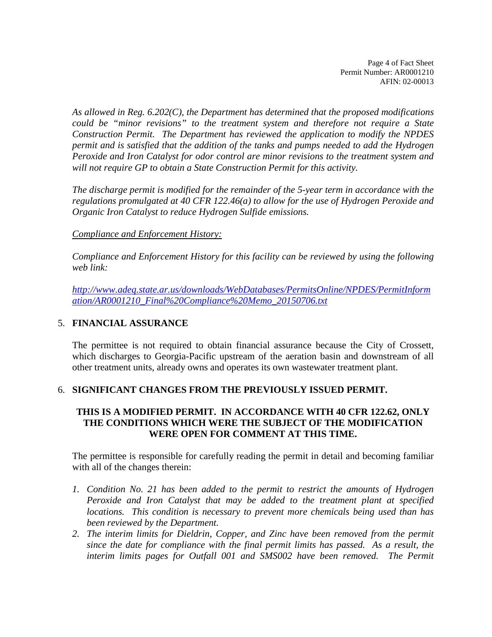Page 4 of Fact Sheet Permit Number: AR0001210 AFIN: 02-00013

*As allowed in Reg. 6.202(C), the Department has determined that the proposed modifications could be "minor revisions" to the treatment system and therefore not require a State Construction Permit. The Department has reviewed the application to modify the NPDES permit and is satisfied that the addition of the tanks and pumps needed to add the Hydrogen Peroxide and Iron Catalyst for odor control are minor revisions to the treatment system and will not require GP to obtain a State Construction Permit for this activity.* 

*The discharge permit is modified for the remainder of the 5-year term in accordance with the regulations promulgated at 40 CFR 122.46(a) to allow for the use of Hydrogen Peroxide and Organic Iron Catalyst to reduce Hydrogen Sulfide emissions.*

### *Compliance and Enforcement History:*

*Compliance and Enforcement History for this facility can be reviewed by using the following web link:*

*[http://www.adeq.state.ar.us/downloads/WebDatabases/PermitsOnline/NPDES/PermitInform](http://www.adeq.state.ar.us/downloads/WebDatabases/PermitsOnline/NPDES/PermitInformation/AR0001210_Final%20Compliance%20Memo_20150706.txt) [ation/AR0001210\\_Final%20Compliance%20Memo\\_20150706.txt](http://www.adeq.state.ar.us/downloads/WebDatabases/PermitsOnline/NPDES/PermitInformation/AR0001210_Final%20Compliance%20Memo_20150706.txt)*

### 5. **FINANCIAL ASSURANCE**

The permittee is not required to obtain financial assurance because the City of Crossett, which discharges to Georgia-Pacific upstream of the aeration basin and downstream of all other treatment units, already owns and operates its own wastewater treatment plant.

### 6. **SIGNIFICANT CHANGES FROM THE PREVIOUSLY ISSUED PERMIT.**

### **THIS IS A MODIFIED PERMIT. IN ACCORDANCE WITH 40 CFR 122.62, ONLY THE CONDITIONS WHICH WERE THE SUBJECT OF THE MODIFICATION WERE OPEN FOR COMMENT AT THIS TIME.**

The permittee is responsible for carefully reading the permit in detail and becoming familiar with all of the changes therein:

- *1. Condition No. 21 has been added to the permit to restrict the amounts of Hydrogen Peroxide and Iron Catalyst that may be added to the treatment plant at specified locations. This condition is necessary to prevent more chemicals being used than has been reviewed by the Department.*
- *2. The interim limits for Dieldrin, Copper, and Zinc have been removed from the permit since the date for compliance with the final permit limits has passed. As a result, the*  interim limits pages for Outfall 001 and SMS002 have been removed. The Permit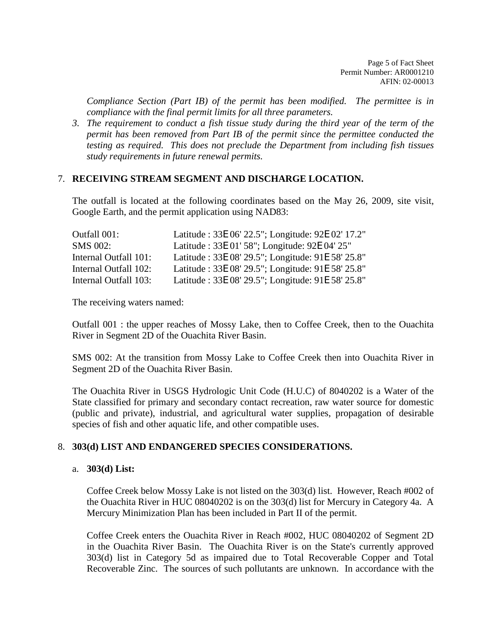Page 5 of Fact Sheet Permit Number: AR0001210 AFIN: 02-00013

*Compliance Section (Part IB) of the permit has been modified. The permittee is in compliance with the final permit limits for all three parameters.* 

*3. The requirement to conduct a fish tissue study during the third year of the term of the permit has been removed from Part IB of the permit since the permittee conducted the testing as required. This does not preclude the Department from including fish tissues study requirements in future renewal permits.*

#### 7. **RECEIVING STREAM SEGMENT AND DISCHARGE LOCATION.**

The outfall is located at the following coordinates based on the May 26, 2009, site visit, Google Earth, and the permit application using NAD83:

| Outfall 001:          | Latitude: 33E 06' 22.5"; Longitude: 92E 02' 17.2" |
|-----------------------|---------------------------------------------------|
| <b>SMS 002:</b>       | Latitude: 33E 01' 58"; Longitude: 92E 04' 25"     |
| Internal Outfall 101: | Latitude: 33E 08' 29.5"; Longitude: 91E 58' 25.8" |
| Internal Outfall 102: | Latitude: 33E 08' 29.5"; Longitude: 91E 58' 25.8" |
| Internal Outfall 103: | Latitude: 33E 08' 29.5"; Longitude: 91E 58' 25.8" |

The receiving waters named:

Outfall 001 : the upper reaches of Mossy Lake, then to Coffee Creek, then to the Ouachita River in Segment 2D of the Ouachita River Basin.

SMS 002: At the transition from Mossy Lake to Coffee Creek then into Ouachita River in Segment 2D of the Ouachita River Basin.

The Ouachita River in USGS Hydrologic Unit Code (H.U.C) of 8040202 is a Water of the State classified for primary and secondary contact recreation, raw water source for domestic (public and private), industrial, and agricultural water supplies, propagation of desirable species of fish and other aquatic life, and other compatible uses.

### 8. **303(d) LIST AND ENDANGERED SPECIES CONSIDERATIONS.**

#### a. **303(d) List:**

Coffee Creek below Mossy Lake is not listed on the 303(d) list. However, Reach #002 of the Ouachita River in HUC 08040202 is on the 303(d) list for Mercury in Category 4a. A Mercury Minimization Plan has been included in Part II of the permit.

Coffee Creek enters the Ouachita River in Reach #002, HUC 08040202 of Segment 2D in the Ouachita River Basin. The Ouachita River is on the State's currently approved 303(d) list in Category 5d as impaired due to Total Recoverable Copper and Total Recoverable Zinc. The sources of such pollutants are unknown. In accordance with the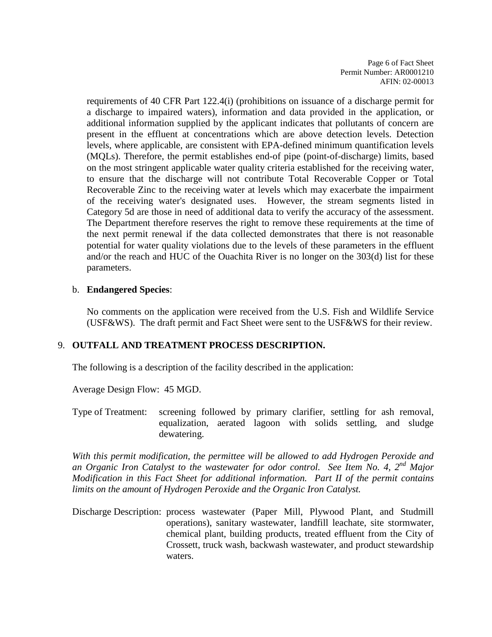Page 6 of Fact Sheet Permit Number: AR0001210 AFIN: 02-00013

requirements of 40 CFR Part 122.4(i) (prohibitions on issuance of a discharge permit for a discharge to impaired waters), information and data provided in the application, or additional information supplied by the applicant indicates that pollutants of concern are present in the effluent at concentrations which are above detection levels. Detection levels, where applicable, are consistent with EPA-defined minimum quantification levels (MQLs). Therefore, the permit establishes end-of pipe (point-of-discharge) limits, based on the most stringent applicable water quality criteria established for the receiving water, to ensure that the discharge will not contribute Total Recoverable Copper or Total Recoverable Zinc to the receiving water at levels which may exacerbate the impairment of the receiving water's designated uses. However, the stream segments listed in Category 5d are those in need of additional data to verify the accuracy of the assessment. The Department therefore reserves the right to remove these requirements at the time of the next permit renewal if the data collected demonstrates that there is not reasonable potential for water quality violations due to the levels of these parameters in the effluent and/or the reach and HUC of the Ouachita River is no longer on the 303(d) list for these parameters.

#### b. **Endangered Species**:

No comments on the application were received from the U.S. Fish and Wildlife Service (USF&WS). The draft permit and Fact Sheet were sent to the USF&WS for their review.

### 9. **OUTFALL AND TREATMENT PROCESS DESCRIPTION.**

The following is a description of the facility described in the application:

Average Design Flow: 45 MGD.

Type of Treatment: screening followed by primary clarifier, settling for ash removal, equalization, aerated lagoon with solids settling, and sludge dewatering.

*With this permit modification, the permittee will be allowed to add Hydrogen Peroxide and an Organic Iron Catalyst to the wastewater for odor control. See Item No. 4, 2nd Major Modification in this Fact Sheet for additional information. Part II of the permit contains limits on the amount of Hydrogen Peroxide and the Organic Iron Catalyst.*

Discharge Description: process wastewater (Paper Mill, Plywood Plant, and Studmill operations), sanitary wastewater, landfill leachate, site stormwater, chemical plant, building products, treated effluent from the City of Crossett, truck wash, backwash wastewater, and product stewardship waters.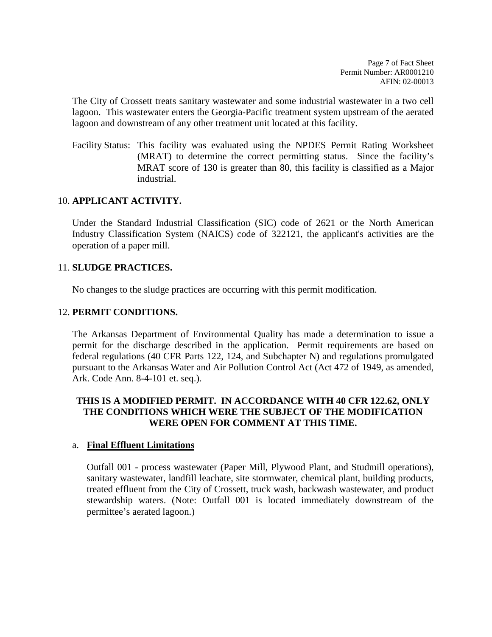Page 7 of Fact Sheet Permit Number: AR0001210 AFIN: 02-00013

The City of Crossett treats sanitary wastewater and some industrial wastewater in a two cell lagoon. This wastewater enters the Georgia-Pacific treatment system upstream of the aerated lagoon and downstream of any other treatment unit located at this facility.

Facility Status: This facility was evaluated using the NPDES Permit Rating Worksheet (MRAT) to determine the correct permitting status. Since the facility's MRAT score of 130 is greater than 80, this facility is classified as a Major industrial.

### 10. **APPLICANT ACTIVITY.**

Under the Standard Industrial Classification (SIC) code of 2621 or the North American Industry Classification System (NAICS) code of 322121, the applicant's activities are the operation of a paper mill.

### 11. **SLUDGE PRACTICES.**

No changes to the sludge practices are occurring with this permit modification.

### 12. **PERMIT CONDITIONS.**

The Arkansas Department of Environmental Quality has made a determination to issue a permit for the discharge described in the application. Permit requirements are based on federal regulations (40 CFR Parts 122, 124, and Subchapter N) and regulations promulgated pursuant to the Arkansas Water and Air Pollution Control Act (Act 472 of 1949, as amended, Ark. Code Ann. 8-4-101 et. seq.).

### **THIS IS A MODIFIED PERMIT. IN ACCORDANCE WITH 40 CFR 122.62, ONLY THE CONDITIONS WHICH WERE THE SUBJECT OF THE MODIFICATION WERE OPEN FOR COMMENT AT THIS TIME.**

### a. **Final Effluent Limitations**

Outfall 001 - process wastewater (Paper Mill, Plywood Plant, and Studmill operations), sanitary wastewater, landfill leachate, site stormwater, chemical plant, building products, treated effluent from the City of Crossett, truck wash, backwash wastewater, and product stewardship waters. (Note: Outfall 001 is located immediately downstream of the permittee's aerated lagoon.)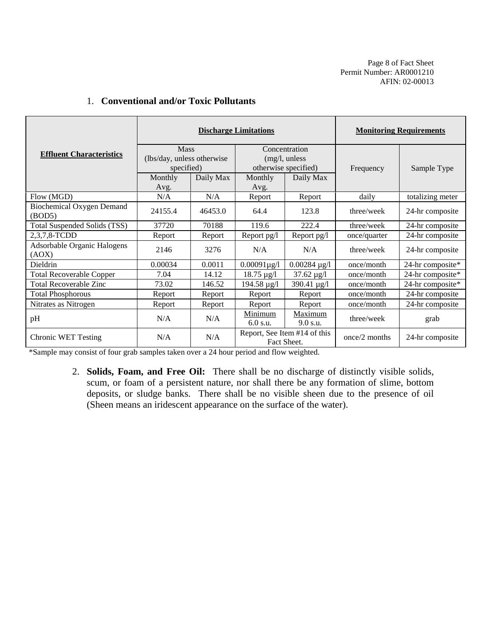Page 8 of Fact Sheet Permit Number: AR0001210 AFIN: 02-00013

|                                            | <b>Discharge Limitations</b>                            |           |                                                        |                              | <b>Monitoring Requirements</b> |                  |  |
|--------------------------------------------|---------------------------------------------------------|-----------|--------------------------------------------------------|------------------------------|--------------------------------|------------------|--|
| <b>Effluent Characteristics</b>            | <b>Mass</b><br>(lbs/day, unless otherwise<br>specified) |           | Concentration<br>(mg/l, unless<br>otherwise specified) |                              | Frequency                      | Sample Type      |  |
|                                            | Monthly<br>Avg.                                         | Daily Max | Monthly<br>Avg.                                        | Daily Max                    |                                |                  |  |
| Flow (MGD)                                 | N/A                                                     | N/A       | Report                                                 | Report                       | daily                          | totalizing meter |  |
| <b>Biochemical Oxygen Demand</b><br>(BOD5) | 24155.4                                                 | 46453.0   | 64.4                                                   | 123.8                        | three/week                     | 24-hr composite  |  |
| Total Suspended Solids (TSS)               | 37720                                                   | 70188     | 119.6                                                  | 222.4                        | three/week                     | 24-hr composite  |  |
| 2,3,7,8-TCDD                               | Report                                                  | Report    | Report pg/l                                            | Report pg/l                  | once/quarter                   | 24-hr composite  |  |
| Adsorbable Organic Halogens<br>(AOX)       | 2146                                                    | 3276      | N/A                                                    | N/A                          | three/week                     | 24-hr composite  |  |
| Dieldrin                                   | 0.00034                                                 | 0.0011    | $0.00091\mu$ g/l                                       | $0.00284 \,\mathrm{\mu g/l}$ | once/month                     | 24-hr composite* |  |
| <b>Total Recoverable Copper</b>            | 7.04                                                    | 14.12     | $18.75 \,\mu g/l$                                      | $37.62 \,\mu g/l$            | once/month                     | 24-hr composite* |  |
| <b>Total Recoverable Zinc</b>              | 73.02                                                   | 146.52    | 194.58 µg/l                                            | 390.41 µg/l                  | once/month                     | 24-hr composite* |  |
| <b>Total Phosphorous</b>                   | Report                                                  | Report    | Report                                                 | Report                       | once/month                     | 24-hr composite  |  |
| Nitrates as Nitrogen                       | Report                                                  | Report    | Report                                                 | Report                       | once/month                     | 24-hr composite  |  |
| pH                                         | N/A                                                     | N/A       | Minimum<br>6.0 s.u.                                    | Maximum<br>9.0 s.u.          | three/week                     | grab             |  |
| Chronic WET Testing                        | N/A                                                     | N/A       | Fact Sheet.                                            | Report, See Item #14 of this | once/2 months                  | 24-hr composite  |  |

### 1. **Conventional and/or Toxic Pollutants**

\*Sample may consist of four grab samples taken over a 24 hour period and flow weighted.

2. **Solids, Foam, and Free Oil:** There shall be no discharge of distinctly visible solids, scum, or foam of a persistent nature, nor shall there be any formation of slime, bottom deposits, or sludge banks. There shall be no visible sheen due to the presence of oil (Sheen means an iridescent appearance on the surface of the water).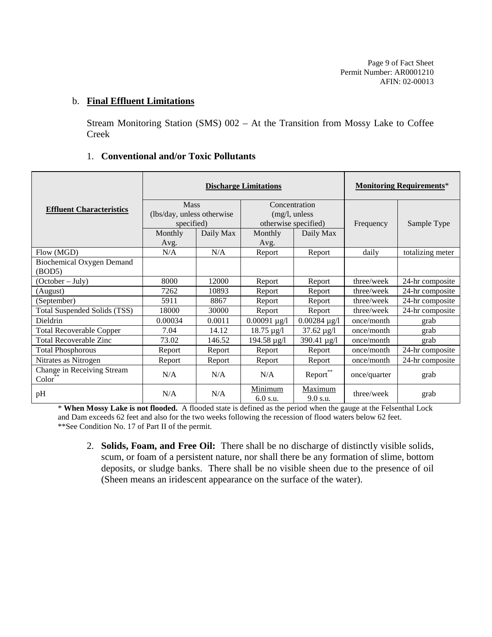Page 9 of Fact Sheet Permit Number: AR0001210 AFIN: 02-00013

#### b. **Final Effluent Limitations**

Stream Monitoring Station (SMS) 002 – At the Transition from Mossy Lake to Coffee Creek

|                                                  |                            | <b>Discharge Limitations</b> | <b>Monitoring Requirements*</b> |                     |              |                  |
|--------------------------------------------------|----------------------------|------------------------------|---------------------------------|---------------------|--------------|------------------|
| <b>Effluent Characteristics</b>                  | <b>Mass</b>                |                              | Concentration                   |                     |              |                  |
|                                                  | (lbs/day, unless otherwise |                              | (mg/l, unless                   |                     |              |                  |
|                                                  | specified)                 |                              | otherwise specified)            |                     | Frequency    | Sample Type      |
|                                                  | Monthly                    | Daily Max                    | Monthly                         | Daily Max           |              |                  |
|                                                  | Avg.                       |                              | Avg.                            |                     |              |                  |
| Flow (MGD)                                       | N/A                        | N/A                          | Report                          | Report              | daily        | totalizing meter |
| <b>Biochemical Oxygen Demand</b><br>(BOD5)       |                            |                              |                                 |                     |              |                  |
| $(October - July)$                               | 8000                       | 12000                        | Report                          | Report              | three/week   | 24-hr composite  |
| (August)                                         | 7262                       | 10893                        | Report                          | Report              | three/week   | 24-hr composite  |
| (September)                                      | 5911                       | 8867                         | Report                          | Report              | three/week   | 24-hr composite  |
| <b>Total Suspended Solids (TSS)</b>              | 18000                      | 30000                        | Report                          | Report              | three/week   | 24-hr composite  |
| Dieldrin                                         | 0.00034                    | 0.0011                       | $0.00091 \mu g/l$               | $0.00284 \mu g/l$   | once/month   | grab             |
| <b>Total Recoverable Copper</b>                  | 7.04                       | 14.12                        | $18.75 \,\mu g/l$               | $37.62 \,\mu g/l$   | once/month   | grab             |
| <b>Total Recoverable Zinc</b>                    | 73.02                      | 146.52                       | 194.58 µg/l                     | 390.41 $\mu$ g/l    | once/month   | grab             |
| <b>Total Phosphorous</b>                         | Report                     | Report                       | Report                          | Report              | once/month   | 24-hr composite  |
| Nitrates as Nitrogen                             | Report                     | Report                       | Report                          | Report              | once/month   | 24-hr composite  |
| Change in Receiving Stream<br>Color <sup>*</sup> | N/A                        | N/A                          | N/A                             | Report**            | once/quarter | grab             |
| pH                                               | N/A                        | N/A                          | Minimum<br>6.0 s.u.             | Maximum<br>9.0 s.u. | three/week   | grab             |

## 1. **Conventional and/or Toxic Pollutants**

\* **When Mossy Lake is not flooded.** A flooded state is defined as the period when the gauge at the Felsenthal Lock and Dam exceeds 62 feet and also for the two weeks following the recession of flood waters below 62 feet. \*\*See Condition No. 17 of Part II of the permit.

2. **Solids, Foam, and Free Oil:** There shall be no discharge of distinctly visible solids, scum, or foam of a persistent nature, nor shall there be any formation of slime, bottom deposits, or sludge banks. There shall be no visible sheen due to the presence of oil (Sheen means an iridescent appearance on the surface of the water).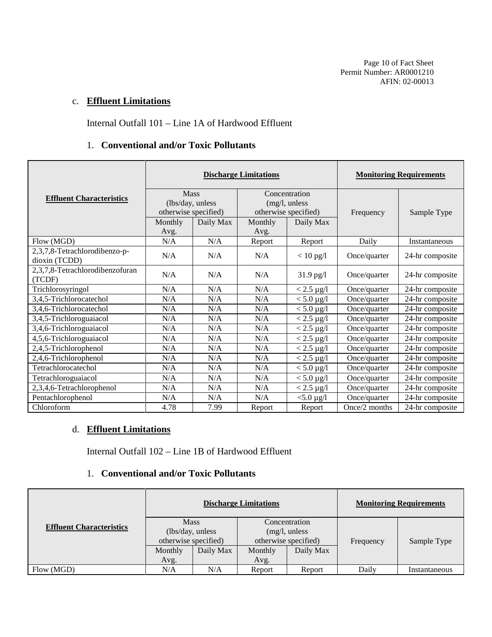Page 10 of Fact Sheet Permit Number: AR0001210 AFIN: 02-00013

## c. **Effluent Limitations**

Internal Outfall 101 – Line 1A of Hardwood Effluent

#### 1. **Conventional and/or Toxic Pollutants**

|                                                |                                                         | <b>Discharge Limitations</b> |                                                        |                   |               | <b>Monitoring Requirements</b> |  |  |
|------------------------------------------------|---------------------------------------------------------|------------------------------|--------------------------------------------------------|-------------------|---------------|--------------------------------|--|--|
| <b>Effluent Characteristics</b>                | <b>Mass</b><br>(lbs/day, unless<br>otherwise specified) |                              | Concentration<br>(mg/l, unless<br>otherwise specified) |                   | Frequency     | Sample Type                    |  |  |
|                                                | Monthly                                                 | Daily Max                    | Monthly                                                | Daily Max         |               |                                |  |  |
|                                                | Avg.                                                    |                              | Avg.                                                   |                   |               |                                |  |  |
| Flow (MGD)                                     | N/A                                                     | N/A                          | Report                                                 | Report            | Daily         | Instantaneous                  |  |  |
| 2,3,7,8-Tetrachlorodibenzo-p-<br>dioxin (TCDD) | N/A                                                     | N/A                          | N/A                                                    | $< 10$ pg/l       | Once/quarter  | 24-hr composite                |  |  |
| 2,3,7,8-Tetrachlorodibenzofuran<br>(TCDF)      | N/A                                                     | N/A                          | N/A                                                    | $31.9$ pg/l       | Once/quarter  | 24-hr composite                |  |  |
| Trichlorosyringol                              | N/A                                                     | N/A                          | N/A                                                    | $< 2.5 \mu g/l$   | Once/quarter  | 24-hr composite                |  |  |
| 3,4,5-Trichlorocatechol                        | N/A                                                     | N/A                          | N/A                                                    | $< 5.0 \,\mu g/l$ | Once/quarter  | 24-hr composite                |  |  |
| 3,4,6-Trichlorocatechol                        | N/A                                                     | N/A                          | N/A                                                    | $< 5.0 \,\mu g/l$ | Once/quarter  | 24-hr composite                |  |  |
| 3,4,5-Trichloroguaiacol                        | N/A                                                     | N/A                          | N/A                                                    | $< 2.5 \mu g/l$   | Once/quarter  | 24-hr composite                |  |  |
| 3,4,6-Trichloroguaiacol                        | N/A                                                     | N/A                          | N/A                                                    | $< 2.5 \mu g/l$   | Once/quarter  | 24-hr composite                |  |  |
| 4,5,6-Trichloroguaiacol                        | N/A                                                     | N/A                          | N/A                                                    | $< 2.5 \mu g/l$   | Once/quarter  | 24-hr composite                |  |  |
| 2,4,5-Trichlorophenol                          | N/A                                                     | N/A                          | N/A                                                    | $< 2.5 \mu g/l$   | Once/quarter  | 24-hr composite                |  |  |
| 2,4,6-Trichlorophenol                          | N/A                                                     | N/A                          | N/A                                                    | $< 2.5 \mu g/l$   | Once/quarter  | 24-hr composite                |  |  |
| Tetrachlorocatechol                            | N/A                                                     | N/A                          | N/A                                                    | $< 5.0 \,\mu g/l$ | Once/quarter  | 24-hr composite                |  |  |
| Tetrachloroguaiacol                            | N/A                                                     | N/A                          | N/A                                                    | $< 5.0 \,\mu g/l$ | Once/quarter  | 24-hr composite                |  |  |
| 2,3,4,6-Tetrachlorophenol                      | N/A                                                     | N/A                          | N/A                                                    | $< 2.5 \ \mu g/l$ | Once/quarter  | 24-hr composite                |  |  |
| Pentachlorophenol                              | N/A                                                     | N/A                          | N/A                                                    | $< 5.0 \,\mu g/l$ | Once/quarter  | 24-hr composite                |  |  |
| Chloroform                                     | 4.78                                                    | 7.99                         | Report                                                 | Report            | Once/2 months | 24-hr composite                |  |  |

# d. **Effluent Limitations**

Internal Outfall 102 – Line 1B of Hardwood Effluent

#### 1. **Conventional and/or Toxic Pollutants**

|                                 | <b>Discharge Limitations</b>                                                                                       |           |                 |             |       | <b>Monitoring Requirements</b> |
|---------------------------------|--------------------------------------------------------------------------------------------------------------------|-----------|-----------------|-------------|-------|--------------------------------|
| <b>Effluent Characteristics</b> | <b>Mass</b><br>Concentration<br>(lbs/day, unless)<br>(mg/l, unless<br>otherwise specified)<br>otherwise specified) |           | Frequency       | Sample Type |       |                                |
|                                 | Monthly<br>Avg.                                                                                                    | Daily Max | Monthly<br>Avg. | Daily Max   |       |                                |
| Flow (MGD)                      | N/A                                                                                                                | N/A       | Report          | Report      | Daily | Instantaneous                  |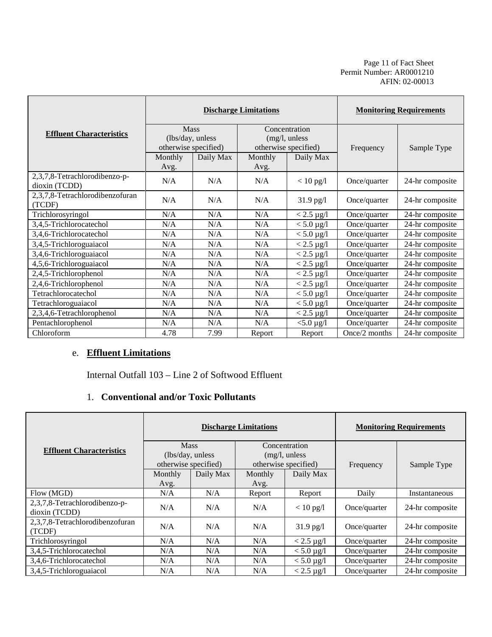Page 11 of Fact Sheet Permit Number: AR0001210 AFIN: 02-00013

|                                                | <b>Discharge Limitations</b> |           |         |                      | <b>Monitoring Requirements</b> |                 |
|------------------------------------------------|------------------------------|-----------|---------|----------------------|--------------------------------|-----------------|
| <b>Effluent Characteristics</b>                | <b>Mass</b>                  |           |         | Concentration        |                                |                 |
|                                                | (lbs/day, unless             |           |         | (mg/l, unless        |                                |                 |
|                                                | otherwise specified)         |           |         | otherwise specified) | Frequency                      | Sample Type     |
|                                                | Monthly                      | Daily Max | Monthly | Daily Max            |                                |                 |
|                                                | Avg.                         |           | Avg.    |                      |                                |                 |
| 2,3,7,8-Tetrachlorodibenzo-p-<br>dioxin (TCDD) | N/A                          | N/A       | N/A     | $< 10$ pg/l          | Once/quarter                   | 24-hr composite |
| 2,3,7,8-Tetrachlorodibenzofuran<br>(TCDF)      | N/A                          | N/A       | N/A     | $31.9$ pg/l          | Once/quarter                   | 24-hr composite |
| Trichlorosyringol                              | N/A                          | N/A       | N/A     | $< 2.5 \mu g/l$      | Once/quarter                   | 24-hr composite |
| 3,4,5-Trichlorocatechol                        | N/A                          | N/A       | N/A     | $< 5.0 \,\mu g/l$    | Once/quarter                   | 24-hr composite |
| 3,4,6-Trichlorocatechol                        | N/A                          | N/A       | N/A     | $< 5.0 \,\mu g/l$    | Once/quarter                   | 24-hr composite |
| 3,4,5-Trichloroguaiacol                        | N/A                          | N/A       | N/A     | $< 2.5 \mu g/l$      | Once/quarter                   | 24-hr composite |
| 3,4,6-Trichloroguaiacol                        | N/A                          | N/A       | N/A     | $< 2.5 \mu g/l$      | Once/quarter                   | 24-hr composite |
| 4,5,6-Trichloroguaiacol                        | N/A                          | N/A       | N/A     | $< 2.5 \mu g/l$      | Once/quarter                   | 24-hr composite |
| 2,4,5-Trichlorophenol                          | N/A                          | N/A       | N/A     | $< 2.5 \mu g/l$      | Once/quarter                   | 24-hr composite |
| 2,4,6-Trichlorophenol                          | N/A                          | N/A       | N/A     | $< 2.5 \mu g/l$      | Once/quarter                   | 24-hr composite |
| Tetrachlorocatechol                            | N/A                          | N/A       | N/A     | $< 5.0 \,\mu g/l$    | Once/quarter                   | 24-hr composite |
| Tetrachloroguaiacol                            | N/A                          | N/A       | N/A     | $< 5.0 \,\mu g/l$    | Once/quarter                   | 24-hr composite |
| 2,3,4,6-Tetrachlorophenol                      | N/A                          | N/A       | N/A     | $< 2.5 \mu g/l$      | Once/quarter                   | 24-hr composite |
| Pentachlorophenol                              | N/A                          | N/A       | N/A     | $<$ 5.0 $\mu$ g/l    | Once/quarter                   | 24-hr composite |
| Chloroform                                     | 4.78                         | 7.99      | Report  | Report               | Once/2 months                  | 24-hr composite |

# e. **Effluent Limitations**

Internal Outfall 103 – Line 2 of Softwood Effluent

# 1. **Conventional and/or Toxic Pollutants**

|                                                |                      |                                                                                           | <b>Discharge Limitations</b> | <b>Monitoring Requirements</b> |              |                 |
|------------------------------------------------|----------------------|-------------------------------------------------------------------------------------------|------------------------------|--------------------------------|--------------|-----------------|
| <b>Effluent Characteristics</b>                | otherwise specified) | <b>Mass</b><br>Concentration<br>(lbs/day, unless<br>(mg/l, unless<br>otherwise specified) |                              |                                | Frequency    | Sample Type     |
|                                                | Monthly<br>Avg.      | Daily Max                                                                                 | Monthly<br>Avg.              | Daily Max                      |              |                 |
| Flow (MGD)                                     | N/A                  | N/A                                                                                       | Report                       | Report                         | Daily        | Instantaneous   |
| 2,3,7,8-Tetrachlorodibenzo-p-<br>dioxin (TCDD) | N/A                  | N/A                                                                                       | N/A                          | $< 10$ pg/l                    | Once/quarter | 24-hr composite |
| 2,3,7,8-Tetrachlorodibenzofuran<br>(TCDF)      | N/A                  | N/A                                                                                       | N/A                          | $31.9$ pg/l                    | Once/quarter | 24-hr composite |
| Trichlorosyringol                              | N/A                  | N/A                                                                                       | N/A                          | $< 2.5 \mu g/l$                | Once/quarter | 24-hr composite |
| 3,4,5-Trichlorocatechol                        | N/A                  | N/A                                                                                       | N/A                          | $< 5.0 \,\mu g/l$              | Once/quarter | 24-hr composite |
| 3,4,6-Trichlorocatechol                        | N/A                  | N/A                                                                                       | N/A                          | $< 5.0 \,\mu g/l$              | Once/quarter | 24-hr composite |
| 3,4,5-Trichloroguaiacol                        | N/A                  | N/A                                                                                       | N/A                          | $< 2.5 \mu g/l$                | Once/quarter | 24-hr composite |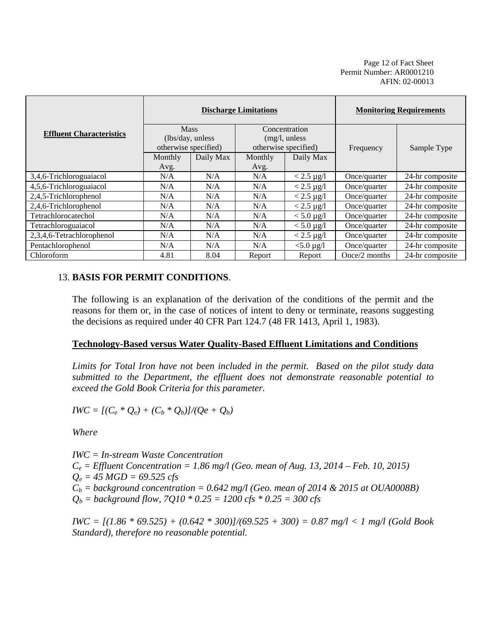Page 12 of Fact Sheet Permit Number: AR0001210 AFIN: 02-00013

|                                 | <b>Discharge Limitations</b>    |           |                                |                            | <b>Monitoring Requirements</b> |                 |  |
|---------------------------------|---------------------------------|-----------|--------------------------------|----------------------------|--------------------------------|-----------------|--|
| <b>Effluent Characteristics</b> | <b>Mass</b><br>(lbs/day, unless |           | Concentration<br>(mg/l, unless |                            |                                |                 |  |
|                                 | otherwise specified)            |           |                                | otherwise specified)       | Frequency                      | Sample Type     |  |
|                                 | Monthly                         | Daily Max | Monthly                        | Daily Max                  |                                |                 |  |
|                                 | Avg.                            |           | Avg.                           |                            |                                |                 |  |
| 3,4,6-Trichloroguaiacol         | N/A                             | N/A       | N/A                            | $< 2.5 \mu g/l$            | Once/quarter                   | 24-hr composite |  |
| 4,5,6-Trichloroguaiacol         | N/A                             | N/A       | N/A                            | $< 2.5 \mu g/l$            | Once/quarter                   | 24-hr composite |  |
| 2,4,5-Trichlorophenol           | N/A                             | N/A       | N/A                            | $< 2.5 \mu g/l$            | Once/quarter                   | 24-hr composite |  |
| 2,4,6-Trichlorophenol           | N/A                             | N/A       | N/A                            | $< 2.5 \mu g/l$            | Once/quarter                   | 24-hr composite |  |
| Tetrachlorocatechol             | N/A                             | N/A       | N/A                            | $< 5.0 \,\mathrm{\mu g/l}$ | Once/quarter                   | 24-hr composite |  |
| Tetrachloroguaiacol             | N/A                             | N/A       | N/A                            | $< 5.0 \mu g/l$            | Once/quarter                   | 24-hr composite |  |
| 2,3,4,6-Tetrachlorophenol       | N/A                             | N/A       | N/A                            | $< 2.5 \mu g/l$            | Once/quarter                   | 24-hr composite |  |
| Pentachlorophenol               | N/A                             | N/A       | N/A                            | $< 5.0 \,\mu g/l$          | Once/quarter                   | 24-hr composite |  |
| Chloroform                      | 4.81                            | 8.04      | Report                         | Report                     | Once/2 months                  | 24-hr composite |  |

### 13. **BASIS FOR PERMIT CONDITIONS**.

The following is an explanation of the derivation of the conditions of the permit and the reasons for them or, in the case of notices of intent to deny or terminate, reasons suggesting the decisions as required under 40 CFR Part 124.7 (48 FR 1413, April 1, 1983).

#### **Technology-Based versus Water Quality-Based Effluent Limitations and Conditions**

*Limits for Total Iron have not been included in the permit. Based on the pilot study data submitted to the Department, the effluent does not demonstrate reasonable potential to exceed the Gold Book Criteria for this parameter.*

 $IWC = [(C_e * Q_e) + (C_b * Q_b)]/(Qe + Q_b)$ 

*Where*

*IWC = In-stream Waste Concentration*  $C_e$  = *Effluent Concentration* = 1.86 mg/l (Geo. mean of Aug. 13, 2014 – Feb. 10, 2015)  $Q_e = 45 \text{ MGD} = 69.525 \text{ cfs}$  $C_b$  = background concentration = 0.642 mg/l (Geo. mean of 2014 & 2015 at OUA0008B)  $Q_b =$  background flow, 7Q10  $*$  0.25 = 1200 cfs  $*$  0.25 = 300 cfs

*IWC = [(1.86 \* 69.525) + (0.642 \* 300)]/(69.525 + 300) = 0.87 mg/l < 1 mg/l (Gold Book Standard), therefore no reasonable potential.*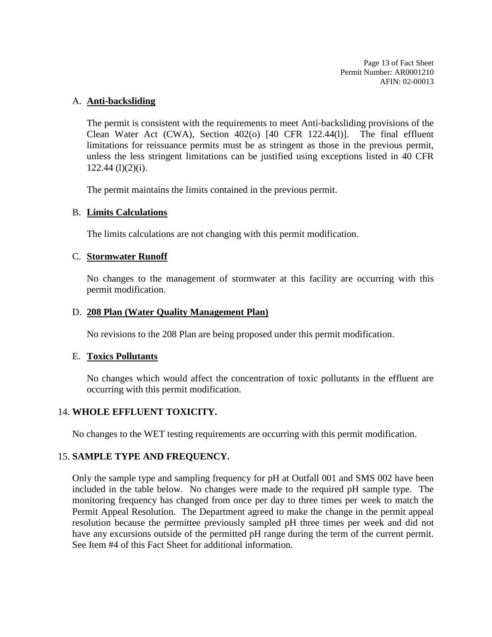Page 13 of Fact Sheet Permit Number: AR0001210 AFIN: 02-00013

#### A. **Anti-backsliding**

The permit is consistent with the requirements to meet Anti-backsliding provisions of the Clean Water Act (CWA), Section  $402(0)$  [40 CFR 122.44(1)]. The final effluent limitations for reissuance permits must be as stringent as those in the previous permit, unless the less stringent limitations can be justified using exceptions listed in 40 CFR  $122.44$  (l)(2)(i).

The permit maintains the limits contained in the previous permit.

### B. **Limits Calculations**

The limits calculations are not changing with this permit modification.

#### C. **Stormwater Runoff**

No changes to the management of stormwater at this facility are occurring with this permit modification.

#### D. **208 Plan (Water Quality Management Plan)**

No revisions to the 208 Plan are being proposed under this permit modification.

### E. **Toxics Pollutants**

No changes which would affect the concentration of toxic pollutants in the effluent are occurring with this permit modification.

### 14. **WHOLE EFFLUENT TOXICITY.**

No changes to the WET testing requirements are occurring with this permit modification.

### 15. **SAMPLE TYPE AND FREQUENCY.**

Only the sample type and sampling frequency for pH at Outfall 001 and SMS 002 have been included in the table below. No changes were made to the required pH sample type. The monitoring frequency has changed from once per day to three times per week to match the Permit Appeal Resolution. The Department agreed to make the change in the permit appeal resolution because the permittee previously sampled pH three times per week and did not have any excursions outside of the permitted pH range during the term of the current permit. See Item #4 of this Fact Sheet for additional information.